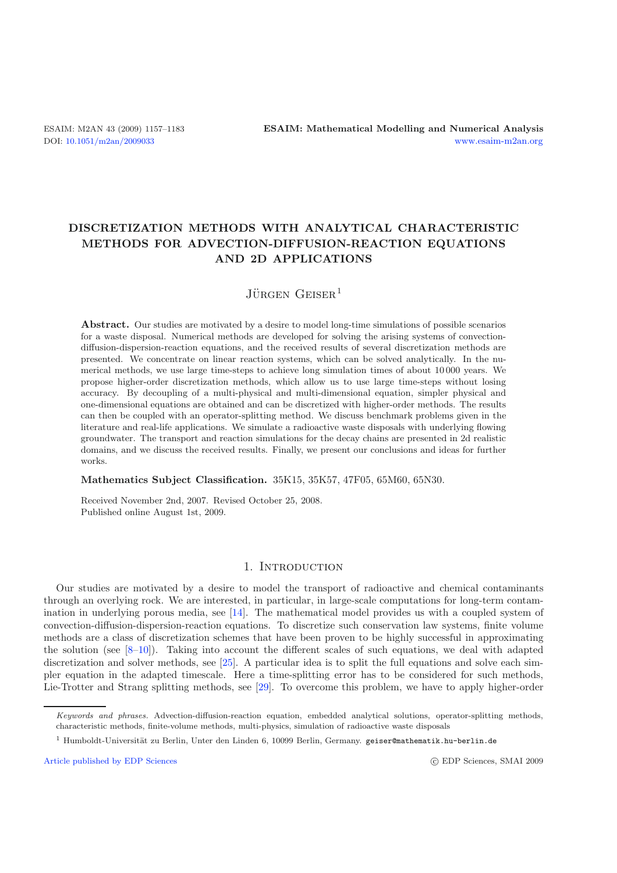# **DISCRETIZATION METHODS WITH ANALYTICAL CHARACTERISTIC METHODS FOR ADVECTION-DIFFUSION-REACTION EQUATIONS AND 2D APPLICATIONS**

## $J\ddot{\text{U}}$ rgen Geiser<sup>1</sup>

**Abstract.** Our studies are motivated by a desire to model long-time simulations of possible scenarios for a waste disposal. Numerical methods are developed for solving the arising systems of convectiondiffusion-dispersion-reaction equations, and the received results of several discretization methods are presented. We concentrate on linear reaction systems, which can be solved analytically. In the numerical methods, we use large time-steps to achieve long simulation times of about 10 000 years. We propose higher-order discretization methods, which allow us to use large time-steps without losing accuracy. By decoupling of a multi-physical and multi-dimensional equation, simpler physical and one-dimensional equations are obtained and can be discretized with higher-order methods. The results can then be coupled with an operator-splitting method. We discuss benchmark problems given in the literature and real-life applications. We simulate a radioactive waste disposals with underlying flowing groundwater. The transport and reaction simulations for the decay chains are presented in 2d realistic domains, and we discuss the received results. Finally, we present our conclusions and ideas for further works.

#### **Mathematics Subject Classification.** 35K15, 35K57, 47F05, 65M60, 65N30.

Received November 2nd, 2007. Revised October 25, 2008. Published online August 1st, 2009.

### 1. INTRODUCTION

Our studies are motivated by a desire to model the transport of radioactive and chemical contaminants through an overlying rock. We are interested, in particular, in large-scale computations for long-term contamination in underlying porous media, see [\[14\]](#page-26-0). The mathematical model provides us with a coupled system of convection-diffusion-dispersion-reaction equations. To discretize such conservation law systems, finite volume methods are a class of discretization schemes that have been proven to be highly successful in approximating the solution (see  $[8-10]$  $[8-10]$ ). Taking into account the different scales of such equations, we deal with adapted discretization and solver methods, see [\[25\]](#page-26-2). A particular idea is to split the full equations and solve each simpler equation in the adapted timescale. Here a time-splitting error has to be considered for such methods, Lie-Trotter and Strang splitting methods, see [\[29](#page-26-3)]. To overcome this problem, we have to apply higher-order

[Article published by EDP Sciences](http://www.edpsciences.org)

c EDP Sciences, SMAI 2009

Keywords and phrases. Advection-diffusion-reaction equation, embedded analytical solutions, operator-splitting methods, characteristic methods, finite-volume methods, multi-physics, simulation of radioactive waste disposals

<sup>&</sup>lt;sup>1</sup> Humboldt-Universität zu Berlin, Unter den Linden 6, 10099 Berlin, Germany. geiser@mathematik.hu-berlin.de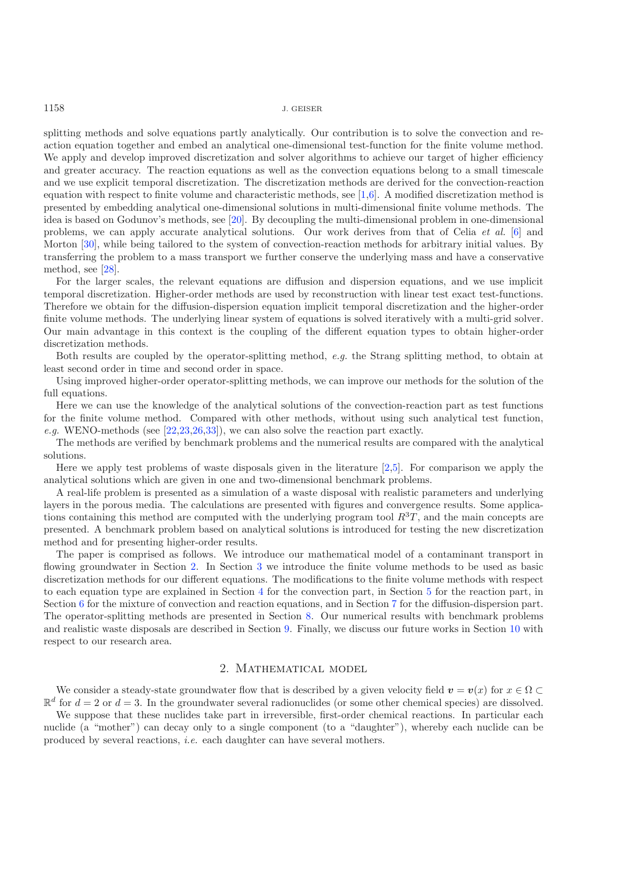splitting methods and solve equations partly analytically. Our contribution is to solve the convection and reaction equation together and embed an analytical one-dimensional test-function for the finite volume method. We apply and develop improved discretization and solver algorithms to achieve our target of higher efficiency and greater accuracy. The reaction equations as well as the convection equations belong to a small timescale and we use explicit temporal discretization. The discretization methods are derived for the convection-reaction equation with respect to finite volume and characteristic methods, see [\[1](#page-25-1)[,6\]](#page-25-2). A modified discretization method is presented by embedding analytical one-dimensional solutions in multi-dimensional finite volume methods. The idea is based on Godunov's methods, see [\[20](#page-26-4)]. By decoupling the multi-dimensional problem in one-dimensional problems, we can apply accurate analytical solutions. Our work derives from that of Celia *et al.* [\[6](#page-25-2)] and Morton [\[30\]](#page-26-5), while being tailored to the system of convection-reaction methods for arbitrary initial values. By transferring the problem to a mass transport we further conserve the underlying mass and have a conservative method, see [\[28\]](#page-26-6).

For the larger scales, the relevant equations are diffusion and dispersion equations, and we use implicit temporal discretization. Higher-order methods are used by reconstruction with linear test exact test-functions. Therefore we obtain for the diffusion-dispersion equation implicit temporal discretization and the higher-order finite volume methods. The underlying linear system of equations is solved iteratively with a multi-grid solver. Our main advantage in this context is the coupling of the different equation types to obtain higher-order discretization methods.

Both results are coupled by the operator-splitting method, *e.g.* the Strang splitting method, to obtain at least second order in time and second order in space.

Using improved higher-order operator-splitting methods, we can improve our methods for the solution of the full equations.

Here we can use the knowledge of the analytical solutions of the convection-reaction part as test functions for the finite volume method. Compared with other methods, without using such analytical test function, *e.g.* WENO-methods (see [\[22](#page-26-7)[,23](#page-26-8)[,26](#page-26-9)[,33\]](#page-26-10)), we can also solve the reaction part exactly.

The methods are verified by benchmark problems and the numerical results are compared with the analytical solutions.

Here we apply test problems of waste disposals given in the literature [\[2](#page-25-3)[,5\]](#page-25-4). For comparison we apply the analytical solutions which are given in one and two-dimensional benchmark problems.

A real-life problem is presented as a simulation of a waste disposal with realistic parameters and underlying layers in the porous media. The calculations are presented with figures and convergence results. Some applications containing this method are computed with the underlying program tool  $R<sup>3</sup>T$ , and the main concepts are presented. A benchmark problem based on analytical solutions is introduced for testing the new discretization method and for presenting higher-order results.

The paper is comprised as follows. We introduce our mathematical model of a contaminant transport in flowing groundwater in Section [2.](#page-1-0) In Section [3](#page-3-0) we introduce the finite volume methods to be used as basic discretization methods for our different equations. The modifications to the finite volume methods with respect to each equation type are explained in Section [4](#page-4-0) for the convection part, in Section [5](#page-11-0) for the reaction part, in Section [6](#page-12-0) for the mixture of convection and reaction equations, and in Section [7](#page-16-0) for the diffusion-dispersion part. The operator-splitting methods are presented in Section [8.](#page-17-0) Our numerical results with benchmark problems and realistic waste disposals are described in Section [9.](#page-18-0) Finally, we discuss our future works in Section [10](#page-25-5) with respect to our research area.

#### 2. Mathematical model

<span id="page-1-0"></span>We consider a steady-state groundwater flow that is described by a given velocity field  $v = v(x)$  for  $x \in \Omega$  $\mathbb{R}^d$  for  $d = 2$  or  $d = 3$ . In the groundwater several radionuclides (or some other chemical species) are dissolved.

We suppose that these nuclides take part in irreversible, first-order chemical reactions. In particular each nuclide (a "mother") can decay only to a single component (to a "daughter"), whereby each nuclide can be produced by several reactions, *i.e.* each daughter can have several mothers.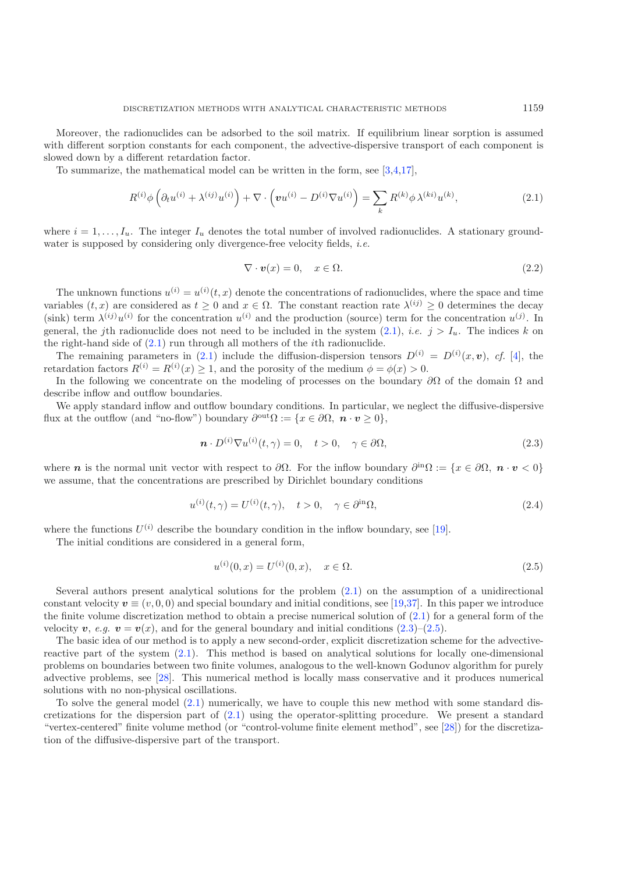<span id="page-2-0"></span>Moreover, the radionuclides can be adsorbed to the soil matrix. If equilibrium linear sorption is assumed with different sorption constants for each component, the advective-dispersive transport of each component is slowed down by a different retardation factor.

To summarize, the mathematical model can be written in the form, see [\[3](#page-25-6)[,4](#page-25-7)[,17\]](#page-26-11),

<span id="page-2-4"></span>
$$
R^{(i)}\phi\left(\partial_t u^{(i)} + \lambda^{(ij)} u^{(i)}\right) + \nabla \cdot \left(\mathbf{v} u^{(i)} - D^{(i)} \nabla u^{(i)}\right) = \sum_k R^{(k)} \phi \,\lambda^{(ki)} u^{(k)},\tag{2.1}
$$

where  $i = 1, \ldots, I_u$ . The integer  $I_u$  denotes the total number of involved radionuclides. A stationary groundwater is supposed by considering only divergence-free velocity fields, *i.e.*

$$
\nabla \cdot \mathbf{v}(x) = 0, \quad x \in \Omega. \tag{2.2}
$$

<span id="page-2-1"></span>The unknown functions  $u^{(i)} = u^{(i)}(t, x)$  denote the concentrations of radionuclides, where the space and time variables  $(t, x)$  are considered as  $t > 0$  and  $x \in \Omega$ . The constant reaction rate  $\lambda^{(ij)} > 0$  determines the decay (sink) term  $\lambda^{(ij)}u^{(i)}$  for the concentration  $u^{(i)}$  and the production (source) term for the concentration  $u^{(j)}$ . In general, the jth radionuclide does not need to be included in the system  $(2.1)$ , *i.e.*  $j > I_u$ . The indices k on the right-hand side of  $(2.1)$  run through all mothers of the *i*th radionuclide.

The remaining parameters in [\(2.1\)](#page-2-0) include the diffusion-dispersion tensors  $D^{(i)} = D^{(i)}(x, v)$ , cf. [\[4\]](#page-25-7), the retardation factors  $R^{(i)} = R^{(i)}(x) \ge 1$ , and the porosity of the medium  $\phi = \phi(x) > 0$ .

In the following we concentrate on the modeling of processes on the boundary  $\partial\Omega$  of the domain  $\Omega$  and describe inflow and outflow boundaries.

We apply standard inflow and outflow boundary conditions. In particular, we neglect the diffusive-dispersive flux at the outflow (and "no-flow") boundary  $\partial^{out}\Omega := \{x \in \partial\Omega, n \cdot v \geq 0\},\$ 

$$
\mathbf{n} \cdot D^{(i)} \nabla u^{(i)}(t, \gamma) = 0, \quad t > 0, \quad \gamma \in \partial \Omega,
$$
\n(2.3)

where *n* is the normal unit vector with respect to  $\partial\Omega$ . For the inflow boundary  $\partial^{in}\Omega := \{x \in \partial\Omega, n \cdot v < 0\}$ we assume, that the concentrations are prescribed by Dirichlet boundary conditions

$$
u^{(i)}(t,\gamma) = U^{(i)}(t,\gamma), \quad t > 0, \quad \gamma \in \partial^{\text{in}} \Omega,
$$
\n(2.4)

where the functions  $U^{(i)}$  describe the boundary condition in the inflow boundary, see [\[19\]](#page-26-12).

<span id="page-2-3"></span>The initial conditions are considered in a general form,

<span id="page-2-2"></span>
$$
u^{(i)}(0,x) = U^{(i)}(0,x), \quad x \in \Omega.
$$
\n(2.5)

Several authors present analytical solutions for the problem [\(2.1\)](#page-2-0) on the assumption of a unidirectional constant velocity  $v \equiv (v, 0, 0)$  and special boundary and initial conditions, see [\[19](#page-26-12)[,37](#page-26-13)]. In this paper we introduce the finite volume discretization method to obtain a precise numerical solution of  $(2.1)$  for a general form of the velocity  $v, e.g.$   $v = v(x)$ , and for the general boundary and initial conditions [\(2.3\)](#page-2-1)–[\(2.5\)](#page-2-2).

The basic idea of our method is to apply a new second-order, explicit discretization scheme for the advectivereactive part of the system [\(2.1\)](#page-2-0). This method is based on analytical solutions for locally one-dimensional problems on boundaries between two finite volumes, analogous to the well-known Godunov algorithm for purely advective problems, see [\[28\]](#page-26-6). This numerical method is locally mass conservative and it produces numerical solutions with no non-physical oscillations.

To solve the general model [\(2.1\)](#page-2-0) numerically, we have to couple this new method with some standard discretizations for the dispersion part of [\(2.1\)](#page-2-0) using the operator-splitting procedure. We present a standard "vertex-centered" finite volume method (or "control-volume finite element method", see [\[28](#page-26-6)]) for the discretization of the diffusive-dispersive part of the transport.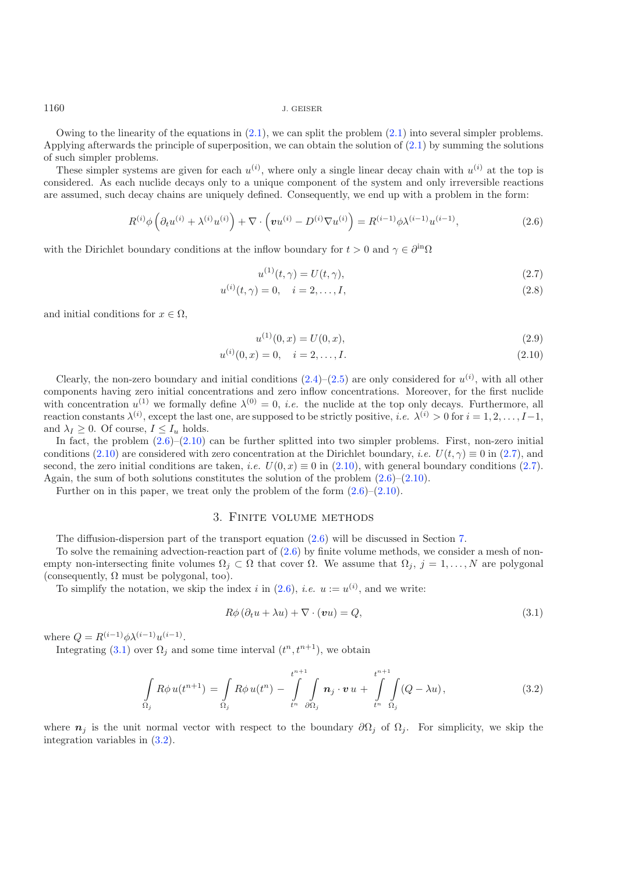Owing to the linearity of the equations in  $(2.1)$ , we can split the problem  $(2.1)$  into several simpler problems. Applying afterwards the principle of superposition, we can obtain the solution of [\(2.1\)](#page-2-0) by summing the solutions of such simpler problems.

These simpler systems are given for each  $u^{(i)}$ , where only a single linear decay chain with  $u^{(i)}$  at the top is considered. As each nuclide decays only to a unique component of the system and only irreversible reactions are assumed, such decay chains are uniquely defined. Consequently, we end up with a problem in the form:

$$
R^{(i)}\phi\left(\partial_t u^{(i)} + \lambda^{(i)} u^{(i)}\right) + \nabla \cdot \left(\mathbf{v} u^{(i)} - D^{(i)} \nabla u^{(i)}\right) = R^{(i-1)}\phi \lambda^{(i-1)} u^{(i-1)},\tag{2.6}
$$

with the Dirichlet boundary conditions at the inflow boundary for  $t > 0$  and  $\gamma \in \partial^{in}\Omega$ 

$$
u^{(1)}(t,\gamma) = U(t,\gamma),\tag{2.7}
$$

<span id="page-3-3"></span>
$$
u^{(i)}(t,\gamma) = 0, \quad i = 2,\dots, I,
$$
\n(2.8)

and initial conditions for  $x \in \Omega$ ,

$$
u^{(1)}(0,x) = U(0,x),
$$
\n(2.9)

<span id="page-3-2"></span>
$$
u^{(i)}(0, x) = 0, \quad i = 2, \dots, I. \tag{2.10}
$$

Clearly, the non-zero boundary and initial conditions  $(2.4)$ – $(2.5)$  are only considered for  $u^{(i)}$ , with all other components having zero initial concentrations and zero inflow concentrations. Moreover, for the first nuclide with concentration  $u^{(1)}$  we formally define  $\lambda^{(0)} = 0$ , *i.e.* the nuclide at the top only decays. Furthermore, all reaction constants  $\lambda^{(i)}$ , except the last one, are supposed to be strictly positive, *i.e.*  $\lambda^{(i)} > 0$  for  $i = 1, 2, ..., I-1$ , and  $\lambda_I \geq 0$ . Of course,  $I \leq I_u$  holds.

In fact, the problem  $(2.6)$ – $(2.10)$  can be further splitted into two simpler problems. First, non-zero initial conditions [\(2.10\)](#page-3-2) are considered with zero concentration at the Dirichlet boundary, *i.e.*  $U(t, \gamma) \equiv 0$  in [\(2.7\)](#page-3-3), and second, the zero initial conditions are taken, *i.e.*  $U(0, x) \equiv 0$  in [\(2.10\)](#page-3-2), with general boundary conditions [\(2.7\)](#page-3-3). Again, the sum of both solutions constitutes the solution of the problem  $(2.6)$ – $(2.10)$ .

<span id="page-3-0"></span>Further on in this paper, we treat only the problem of the form [\(2.6\)](#page-3-1)–[\(2.10\)](#page-3-2).

#### <span id="page-3-4"></span>3. Finite volume methods

<span id="page-3-5"></span>The diffusion-dispersion part of the transport equation [\(2.6\)](#page-3-1) will be discussed in Section [7.](#page-16-0)

To solve the remaining advection-reaction part of [\(2.6\)](#page-3-1) by finite volume methods, we consider a mesh of nonempty non-intersecting finite volumes  $\Omega_i \subset \Omega$  that cover  $\Omega$ . We assume that  $\Omega_i$ ,  $j = 1, \ldots, N$  are polygonal (consequently,  $\Omega$  must be polygonal, too).

To simplify the notation, we skip the index i in  $(2.6)$ , *i.e.*  $u := u^{(i)}$ , and we write:

$$
R\phi\left(\partial_t u + \lambda u\right) + \nabla \cdot \left(vu\right) = Q,\tag{3.1}
$$

where  $Q = R^{(i-1)} \phi \lambda^{(i-1)} u^{(i-1)}$ .

Integrating [\(3.1\)](#page-3-4) over  $\Omega_j$  and some time interval  $(t^n, t^{n+1})$ , we obtain

$$
\int\limits_{\Omega_j} R\phi u(t^{n+1}) = \int\limits_{\Omega_j} R\phi u(t^n) - \int\limits_{t^n}^{t^{n+1}} \int\limits_{\partial\Omega_j} \boldsymbol{n}_j \cdot \boldsymbol{v} \, u + \int\limits_{t^n}^{t^{n+1}} \int\limits_{\Omega_j} (Q - \lambda u), \tag{3.2}
$$

where  $n_j$  is the unit normal vector with respect to the boundary  $\partial\Omega_j$  of  $\Omega_j$ . For simplicity, we skip the integration variables in [\(3.2\)](#page-3-5).

<span id="page-3-1"></span>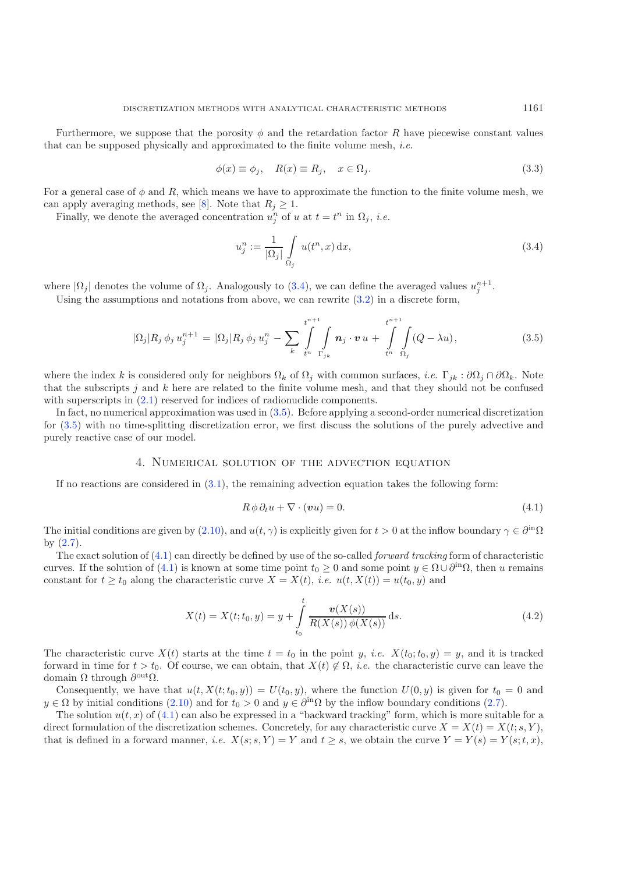Furthermore, we suppose that the porosity  $\phi$  and the retardation factor R have piecewise constant values that can be supposed physically and approximated to the finite volume mesh, *i.e.*

<span id="page-4-1"></span>
$$
\phi(x) \equiv \phi_j, \quad R(x) \equiv R_j, \quad x \in \Omega_j. \tag{3.3}
$$

<span id="page-4-2"></span>For a general case of  $\phi$  and R, which means we have to approximate the function to the finite volume mesh, we can apply averaging methods, see [\[8](#page-25-0)]. Note that  $R_j \geq 1$ .

Finally, we denote the averaged concentration  $u_i^n$  of u at  $t = t^n$  in  $\Omega_j$ , *i.e.* 

$$
u_j^n := \frac{1}{|\Omega_j|} \int\limits_{\Omega_j} u(t^n, x) \, \mathrm{d}x,\tag{3.4}
$$

where  $|\Omega_j|$  denotes the volume of  $\Omega_j$ . Analogously to [\(3.4\)](#page-4-1), we can define the averaged values  $u_j^{n+1}$ .

Using the assumptions and notations from above, we can rewrite  $(3.2)$  in a discrete form,

<span id="page-4-3"></span>
$$
|\Omega_j| R_j \phi_j u_j^{n+1} = |\Omega_j| R_j \phi_j u_j^n - \sum_k \int_{t^n}^{t^{n+1}} \int_{\Gamma_{jk}} \mathbf{n}_j \cdot \mathbf{v} u + \int_{t^n}^{t^{n+1}} \int_{\Omega_j} (Q - \lambda u), \qquad (3.5)
$$

where the index k is considered only for neighbors  $\Omega_k$  of  $\Omega_j$  with common surfaces, *i.e.*  $\Gamma_{jk}$ :  $\partial\Omega_j \cap \partial\Omega_k$ . Note that the subscripts  $j$  and  $k$  here are related to the finite volume mesh, and that they should not be confused with superscripts in  $(2.1)$  reserved for indices of radionuclide components.

<span id="page-4-0"></span>In fact, no numerical approximation was used in [\(3.5\)](#page-4-2). Before applying a second-order numerical discretization for [\(3.5\)](#page-4-2) with no time-splitting discretization error, we first discuss the solutions of the purely advective and purely reactive case of our model.

### <span id="page-4-4"></span>4. Numerical solution of the advection equation

If no reactions are considered in  $(3.1)$ , the remaining advection equation takes the following form:

$$
R \phi \partial_t u + \nabla \cdot (v u) = 0. \tag{4.1}
$$

The initial conditions are given by [\(2.10\)](#page-3-2), and  $u(t, \gamma)$  is explicitly given for  $t > 0$  at the inflow boundary  $\gamma \in \partial^{in}\Omega$ by [\(2.7\)](#page-3-3).

The exact solution of [\(4.1\)](#page-4-3) can directly be defined by use of the so-called *forward tracking* form of characteristic curves. If the solution of [\(4.1\)](#page-4-3) is known at some time point  $t_0 \geq 0$  and some point  $y \in \Omega \cup \partial^{in}\Omega$ , then u remains constant for  $t \geq t_0$  along the characteristic curve  $X = X(t)$ , *i.e.*  $u(t, X(t)) = u(t_0, y)$  and

$$
X(t) = X(t; t_0, y) = y + \int_{t_0}^{t} \frac{\mathbf{v}(X(s))}{R(X(s))\phi(X(s))} ds.
$$
\n(4.2)

The characteristic curve  $X(t)$  starts at the time  $t = t_0$  in the point y, *i.e.*  $X(t_0; t_0, y) = y$ , and it is tracked forward in time for  $t > t_0$ . Of course, we can obtain, that  $X(t) \notin \Omega$ , *i.e.* the characteristic curve can leave the domain  $\Omega$  through  $\partial^{\text{out}}$  $\Omega$ .

Consequently, we have that  $u(t, X(t; t_0, y)) = U(t_0, y)$ , where the function  $U(0, y)$  is given for  $t_0 = 0$  and  $y \in \Omega$  by initial conditions [\(2.10\)](#page-3-2) and for  $t_0 > 0$  and  $y \in \partial^{in}\Omega$  by the inflow boundary conditions [\(2.7\)](#page-3-3).

The solution  $u(t, x)$  of [\(4.1\)](#page-4-3) can also be expressed in a "backward tracking" form, which is more suitable for a direct formulation of the discretization schemes. Concretely, for any characteristic curve  $X = X(t) = X(t; s, Y)$ , that is defined in a forward manner, *i.e.*  $X(s; s, Y) = Y$  and  $t \geq s$ , we obtain the curve  $Y = Y(s) = Y(s; t, x)$ ,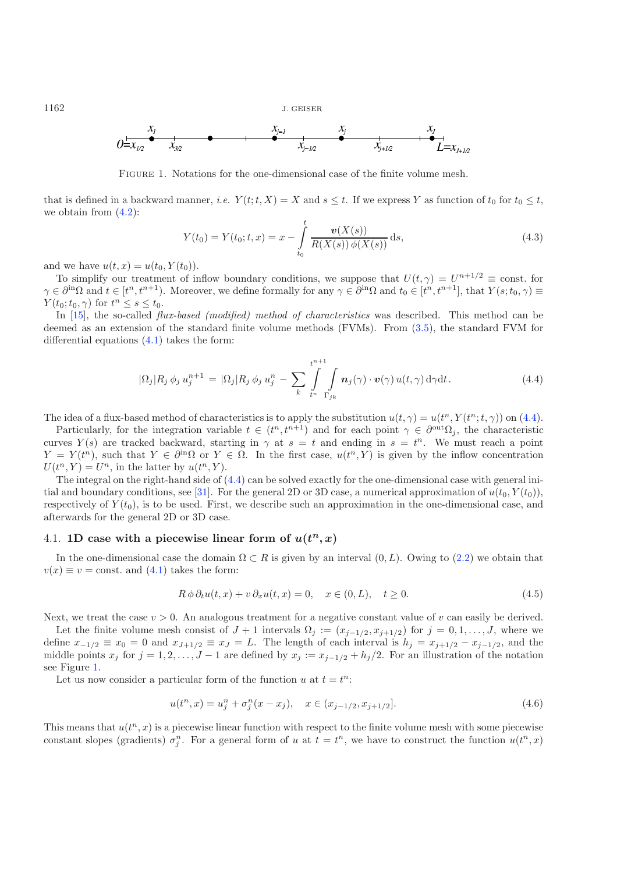<span id="page-5-1"></span>

Figure 1. Notations for the one-dimensional case of the finite volume mesh.

<span id="page-5-0"></span>that is defined in a backward manner, *i.e.*  $Y(t; t, X) = X$  and  $s \leq t$ . If we express Y as function of  $t_0$  for  $t_0 \leq t$ , we obtain from  $(4.2)$ :

$$
Y(t_0) = Y(t_0; t, x) = x - \int_{t_0}^t \frac{\mathbf{v}(X(s))}{R(X(s))\phi(X(s))} ds,
$$
\n(4.3)

and we have  $u(t, x) = u(t_0, Y(t_0)).$ 

To simplify our treatment of inflow boundary conditions, we suppose that  $U(t, \gamma) = U^{n+1/2} \equiv \text{const.}$  for  $\gamma \in \partial^{in}\Omega$  and  $t \in [t^n, t^{n+1})$ . Moreover, we define formally for any  $\gamma \in \partial^{in}\Omega$  and  $t_0 \in [t^n, t^{n+1}]$ , that  $Y(s; t_0, \gamma) \equiv Y(t_0, t_0, t_0, \gamma)$  $Y(t_0;t_0,\gamma)$  for  $t^n \leq s \leq t_0$ .

In [\[15\]](#page-26-14), the so-called *flux-based (modified) method of characteristics* was described. This method can be deemed as an extension of the standard finite volume methods (FVMs). From [\(3.5\)](#page-4-2), the standard FVM for differential equations [\(4.1\)](#page-4-3) takes the form:

$$
|\Omega_j| R_j \phi_j u_j^{n+1} = |\Omega_j| R_j \phi_j u_j^n - \sum_k \int\limits_{t^n}^{t^{n+1}} \int\limits_{\Gamma_{jk}} \mathbf{n}_j(\gamma) \cdot \mathbf{v}(\gamma) u(t, \gamma) d\gamma dt.
$$
 (4.4)

The idea of a flux-based method of characteristics is to apply the substitution  $u(t, \gamma) = u(t^n, Y(t^n; t, \gamma))$  on [\(4.4\)](#page-5-0).

Particularly, for the integration variable  $t \in (t^n, t^{n+1})$  and for each point  $\gamma \in \partial^{out}\Omega_j$ , the characteristic curves  $Y(s)$  are tracked backward, starting in  $\gamma$  at  $s = t$  and ending in  $s = t^n$ . We must reach a point  $Y = Y(t^n)$ , such that  $Y \in \partial^{in}\Omega$  or  $Y \in \Omega$ . In the first case,  $u(t^n, Y)$  is given by the inflow concentration  $U(t^n, Y) = U^n$ , in the latter by  $u(t^n, Y)$ .

The integral on the right-hand side of  $(4.4)$  can be solved exactly for the one-dimensional case with general ini-tial and boundary conditions, see [\[31](#page-26-15)]. For the general 2D or 3D case, a numerical approximation of  $u(t_0, Y(t_0))$ , respectively of  $Y(t_0)$ , is to be used. First, we describe such an approximation in the one-dimensional case, and afterwards for the general 2D or 3D case.

## 4.1. **1D** case with a piecewise linear form of  $u(t^n, x)$

In the one-dimensional case the domain  $\Omega \subset R$  is given by an interval  $(0, L)$ . Owing to [\(2.2\)](#page-2-4) we obtain that  $v(x) \equiv v = \text{const.}$  and  $(4.1)$  takes the form:

$$
R \phi \partial_t u(t, x) + v \partial_x u(t, x) = 0, \quad x \in (0, L), \quad t \ge 0.
$$
\n
$$
(4.5)
$$

Next, we treat the case  $v > 0$ . An analogous treatment for a negative constant value of v can easily be derived.

Let the finite volume mesh consist of  $J + 1$  intervals  $\Omega_j := (x_{j-1/2}, x_{j+1/2})$  for  $j = 0, 1, \ldots, J$ , where we define  $x_{-1/2} \equiv x_0 = 0$  and  $x_{J+1/2} \equiv x_J = L$ . The length of each interval is  $h_j = x_{j+1/2} - x_{j-1/2}$ , and the middle points  $x_j$  for  $j = 1, 2, \ldots, J-1$  are defined by  $x_j := x_{j-1/2} + h_j/2$ . For an illustration of the notation see Figure [1.](#page-5-1)

<span id="page-5-2"></span>Let us now consider a particular form of the function u at  $t = t^n$ :

$$
u(t^n, x) = u_j^n + \sigma_j^n(x - x_j), \quad x \in (x_{j-1/2}, x_{j+1/2}].
$$
\n(4.6)

This means that  $u(t^n, x)$  is a piecewise linear function with respect to the finite volume mesh with some piecewise constant slopes (gradients)  $\sigma_i^n$ . For a general form of u at  $t = t^n$ , we have to construct the function  $u(t^n, x)$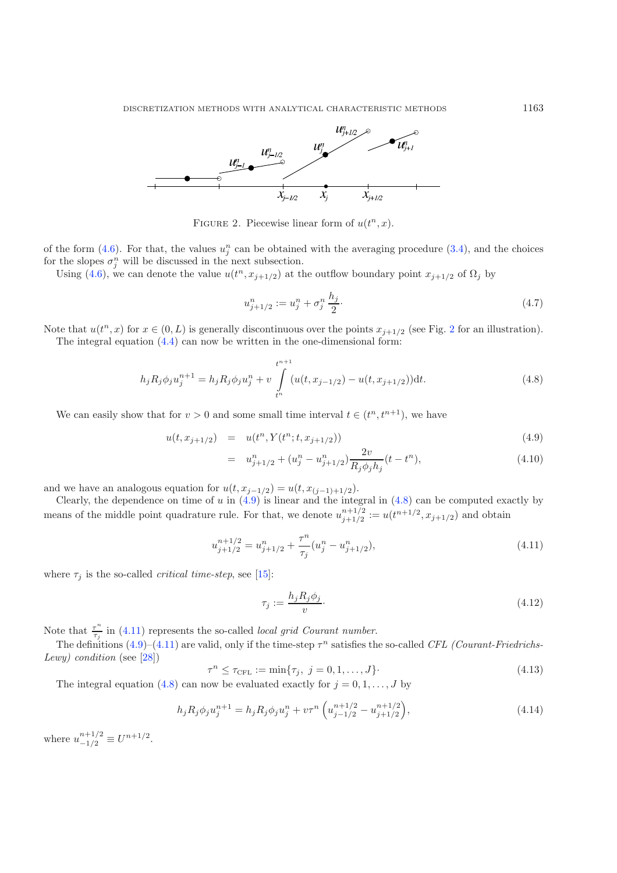<span id="page-6-0"></span>

FIGURE 2. Piecewise linear form of  $u(t^n, x)$ .

of the form  $(4.6)$ . For that, the values  $u_i^n$  can be obtained with the averaging procedure  $(3.4)$ , and the choices for the slopes  $\sigma_i^n$  will be discussed in the next subsection.

Using [\(4.6\)](#page-5-2), we can denote the value  $u(t^n, x_{j+1/2})$  at the outflow boundary point  $x_{j+1/2}$  of  $\Omega_j$  by

$$
u_{j+1/2}^n := u_j^n + \sigma_j^n \frac{h_j}{2}.\tag{4.7}
$$

Note that  $u(t^n, x)$  for  $x \in (0, L)$  is generally discontinuous over the points  $x_{j+1/2}$  $x_{j+1/2}$  $x_{j+1/2}$  (see Fig. 2 for an illustration). The integral equation  $(4.4)$  can now be written in the one-dimensional form:

<span id="page-6-3"></span>
$$
h_j R_j \phi_j u_j^{n+1} = h_j R_j \phi_j u_j^n + v \int_{t^n}^{t^{n+1}} (u(t, x_{j-1/2}) - u(t, x_{j+1/2})) dt.
$$
 (4.8)

<span id="page-6-2"></span><span id="page-6-1"></span>We can easily show that for  $v > 0$  and some small time interval  $t \in (t^n, t^{n+1})$ , we have

<span id="page-6-6"></span>
$$
u(t, x_{j+1/2}) = u(t^n, Y(t^n; t, x_{j+1/2})) \tag{4.9}
$$

$$
= u_{j+1/2}^n + (u_j^n - u_{j+1/2}^n) \frac{2v}{R_j \phi_j h_j} (t - t^n), \tag{4.10}
$$

and we have an analogous equation for  $u(t, x_{j-1/2}) = u(t, x_{(j-1)+1/2})$ .

Clearly, the dependence on time of u in  $(4.9)$  is linear and the integral in  $(4.8)$  can be computed exactly by means of the middle point quadrature rule. For that, we denote  $u_{j+1/2}^{n+1/2} := u(t^{n+1/2}, x_{j+1/2})$  and obtain

<span id="page-6-5"></span>
$$
u_{j+1/2}^{n+1/2} = u_{j+1/2}^n + \frac{\tau^n}{\tau_j} (u_j^n - u_{j+1/2}^n),
$$
\n(4.11)

<span id="page-6-4"></span>where  $\tau_i$  is the so-called *critical time-step*, see [\[15\]](#page-26-14):

$$
\tau_j := \frac{h_j R_j \phi_j}{v}.\tag{4.12}
$$

Note that  $\frac{\tau^n}{\tau_j}$  in [\(4.11\)](#page-6-3) represents the so-called *local grid Courant number*.

The definitions  $(4.9)$ – $(4.11)$  are valid, only if the time-step  $\tau^n$  satisfies the so-called *CFL (Courant-Friedrichs-Lewy) condition* (see [\[28\]](#page-26-6))

$$
\tau^n \le \tau_{\text{CFL}} := \min{\{\tau_j, \ j = 0, 1, ..., J\}}.
$$
\n(4.13)

The integral equation [\(4.8\)](#page-6-2) can now be evaluated exactly for  $j = 0, 1, \ldots, J$  by

$$
h_j R_j \phi_j u_j^{n+1} = h_j R_j \phi_j u_j^n + v \tau^n \left( u_{j-1/2}^{n+1/2} - u_{j+1/2}^{n+1/2} \right), \tag{4.14}
$$

where  $u_{-1/2}^{n+1/2} \equiv U^{n+1/2}$ .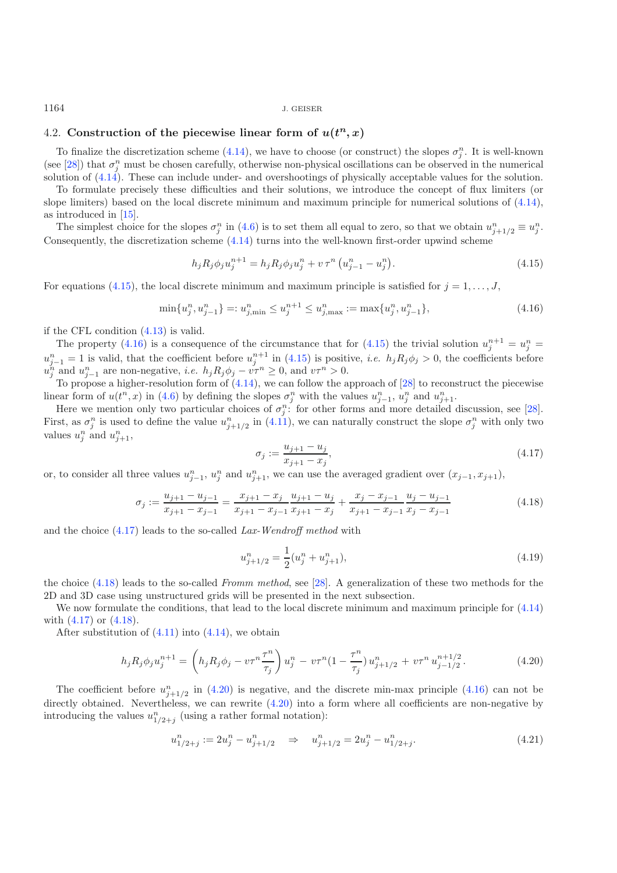#### 4.2. Construction of the piecewise linear form of  $u(t^n, x)$

<span id="page-7-1"></span>To finalize the discretization scheme [\(4.14\)](#page-6-4), we have to choose (or construct) the slopes  $\sigma_i^n$ . It is well-known (see [\[28\]](#page-26-6)) that  $\sigma_i^n$  must be chosen carefully, otherwise non-physical oscillations can be observed in the numerical solution of [\(4.14\)](#page-6-4). These can include under- and overshootings of physically acceptable values for the solution.

To formulate precisely these difficulties and their solutions, we introduce the concept of flux limiters (or slope limiters) based on the local discrete minimum and maximum principle for numerical solutions of [\(4.14\)](#page-6-4), as introduced in [\[15\]](#page-26-14).

The simplest choice for the slopes  $\sigma_j^n$  in [\(4.6\)](#page-5-2) is to set them all equal to zero, so that we obtain  $u_{j+1/2}^n \equiv u_j^n$ . Consequently, the discretization scheme [\(4.14\)](#page-6-4) turns into the well-known first-order upwind scheme

$$
h_j R_j \phi_j u_j^{n+1} = h_j R_j \phi_j u_j^n + v \tau^n \left( u_{j-1}^n - u_j^n \right). \tag{4.15}
$$

For equations [\(4.15\)](#page-7-0), the local discrete minimum and maximum principle is satisfied for  $j = 1, \ldots, J$ ,

<span id="page-7-6"></span><span id="page-7-2"></span>
$$
\min\{u_j^n, u_{j-1}^n\} =: u_{j,\min}^n \le u_j^{n+1} \le u_{j,\max}^n := \max\{u_j^n, u_{j-1}^n\},\tag{4.16}
$$

if the CFL condition [\(4.13\)](#page-6-5) is valid.

<span id="page-7-3"></span>The property [\(4.16\)](#page-7-1) is a consequence of the circumstance that for [\(4.15\)](#page-7-0) the trivial solution  $u_i^{n+1} = u_i^n =$  $u_{j-1}^n = 1$  is valid, that the coefficient before  $u_j^{n+1}$  in [\(4.15\)](#page-7-0) is positive, *i.e.*  $h_j R_j \phi_j > 0$ , the coefficients before  $u_j^n$  and  $u_{j-1}^n$  are non-negative, *i.e.*  $h_j R_j \phi_j - v \tau^n \geq 0$ , and  $v \tau^n > 0$ .<br>To propose a higher resolution form of (4.14), we see follow the a

To propose a higher-resolution form of [\(4.14\)](#page-6-4), we can follow the approach of [\[28](#page-26-6)] to reconstruct the piecewise linear form of  $u(t^n, x)$  in [\(4.6\)](#page-5-2) by defining the slopes  $\sigma_j^n$  with the values  $u_{j-1}^n$ ,  $u_j^n$  and  $u_{j+1}^n$ .<br>Here we mention only two perticular choices of  $\sigma_j^n$  for other forms and more detailed

Here we mention only two particular choices of  $\sigma_i^n$ : for other forms and more detailed discussion, see [\[28\]](#page-26-6). First, as  $\sigma_j^n$  is used to define the value  $u_{j+1/2}^n$  in [\(4.11\)](#page-6-3), we can naturally construct the slope  $\sigma_j^n$  with only two values  $u^n$  and  $u^n$ values  $u_j^n$  and  $u_{j+1}^n$ ,

$$
\sigma_j := \frac{u_{j+1} - u_j}{x_{j+1} - x_j},\tag{4.17}
$$

or, to consider all three values  $u_{j-1}^n$ ,  $u_j^n$  and  $u_{j+1}^n$ , we can use the averaged gradient over  $(x_{j-1}, x_{j+1})$ ,

$$
\sigma_j := \frac{u_{j+1} - u_{j-1}}{x_{j+1} - x_{j-1}} = \frac{x_{j+1} - x_j}{x_{j+1} - x_{j-1}} \frac{u_{j+1} - u_j}{x_{j+1} - x_j} + \frac{x_j - x_{j-1}}{x_{j+1} - x_{j-1}} \frac{u_j - u_{j-1}}{x_j - x_{j-1}}
$$
(4.18)

<span id="page-7-4"></span>and the choice [\(4.17\)](#page-7-2) leads to the so-called *Lax-Wendroff method* with

$$
u_{j+1/2}^n = \frac{1}{2}(u_j^n + u_{j+1}^n),\tag{4.19}
$$

<span id="page-7-5"></span>the choice [\(4.18\)](#page-7-3) leads to the so-called *Fromm method*, see [\[28\]](#page-26-6). A generalization of these two methods for the 2D and 3D case using unstructured grids will be presented in the next subsection.

We now formulate the conditions, that lead to the local discrete minimum and maximum principle for  $(4.14)$ with [\(4.17\)](#page-7-2) or [\(4.18\)](#page-7-3).

After substitution of  $(4.11)$  into  $(4.14)$ , we obtain

$$
h_j R_j \phi_j u_j^{n+1} = \left( h_j R_j \phi_j - v \tau^n \frac{\tau^n}{\tau_j} \right) u_j^n - v \tau^n (1 - \frac{\tau^n}{\tau_j}) u_{j+1/2}^n + v \tau^n u_{j-1/2}^{n+1/2}.
$$
 (4.20)

The coefficient before  $u_{j+1/2}^n$  in [\(4.20\)](#page-7-4) is negative, and the discrete min-max principle [\(4.16\)](#page-7-1) can not be estimated. Note that the set of the set of the set of the set of the set of the set of the set of the set of directly obtained. Nevertheless, we can rewrite  $(4.20)$  into a form where all coefficients are non-negative by introducing the values  $u_{1/2+j}^n$  (using a rather formal notation):

$$
u_{1/2+j}^n := 2u_j^n - u_{j+1/2}^n \quad \Rightarrow \quad u_{j+1/2}^n = 2u_j^n - u_{1/2+j}^n. \tag{4.21}
$$

<span id="page-7-0"></span>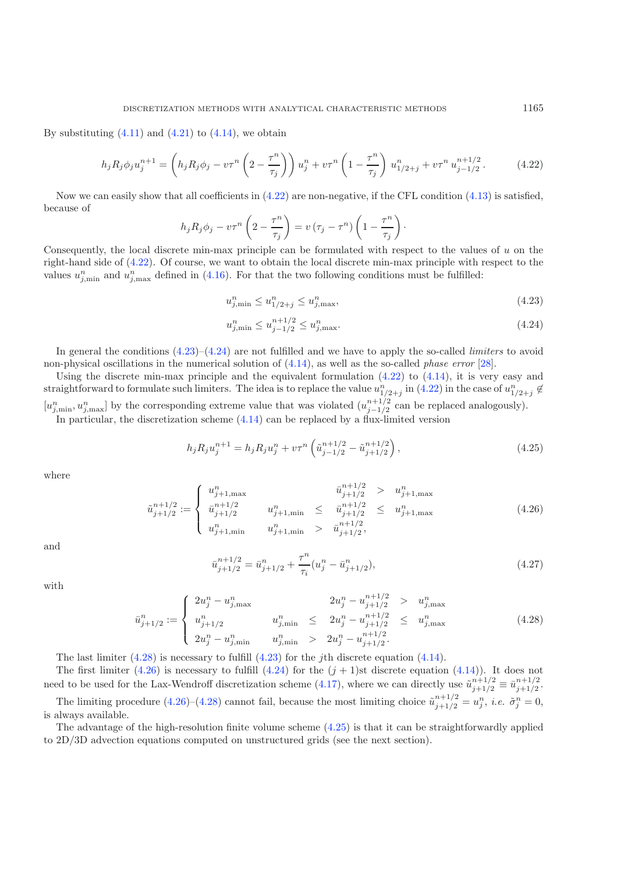<span id="page-8-0"></span>By substituting  $(4.11)$  and  $(4.21)$  to  $(4.14)$ , we obtain

<span id="page-8-1"></span>
$$
h_j R_j \phi_j u_j^{n+1} = \left( h_j R_j \phi_j - v \tau^n \left( 2 - \frac{\tau^n}{\tau_j} \right) \right) u_j^n + v \tau^n \left( 1 - \frac{\tau^n}{\tau_j} \right) u_{1/2+j}^n + v \tau^n u_{j-1/2}^{n+1/2} . \tag{4.22}
$$

Now we can easily show that all coefficients in  $(4.22)$  are non-negative, if the CFL condition  $(4.13)$  is satisfied, because of

$$
h_j R_j \phi_j - v \tau^n \left(2 - \frac{\tau^n}{\tau_j}\right) = v \left(\tau_j - \tau^n\right) \left(1 - \frac{\tau^n}{\tau_j}\right).
$$

<span id="page-8-4"></span>Consequently, the local discrete min-max principle can be formulated with respect to the values of  $u$  on the right-hand side of [\(4.22\)](#page-8-0). Of course, we want to obtain the local discrete min-max principle with respect to the values  $u_{j,\min}^n$  and  $u_{j,\max}^n$  defined in [\(4.16\)](#page-7-1). For that the two following conditions must be fulfilled:

$$
u_{j,\min}^n \le u_{1/2+j}^n \le u_{j,\max}^n,\tag{4.23}
$$

$$
u_{j,\min}^n \le u_{j-1/2}^{n+1/2} \le u_{j,\max}^n. \tag{4.24}
$$

<span id="page-8-3"></span>In general the conditions [\(4.23\)](#page-8-1)–[\(4.24\)](#page-8-1) are not fulfilled and we have to apply the so-called *limiters* to avoid non-physical oscillations in the numerical solution of [\(4.14\)](#page-6-4), as well as the so-called *phase error* [\[28\]](#page-26-6).

Using the discrete min-max principle and the equivalent formulation  $(4.22)$  to  $(4.14)$ , it is very easy and straightforward to formulate such limiters. The idea is to replace the value  $u_{1/2+j}^n$  in [\(4.22\)](#page-8-0) in the case of  $u_{1/2+j}^n \notin$  $[u_{j,\text{min}}^n, u_{j,\text{max}}^n]$  by the corresponding extreme value that was violated  $(u_{j-1/2}^{n+1/2}$  can be replaced analogously).<br>In particular, the discretization scheme [\(4.14\)](#page-6-4) can be replaced by a flux-limited version

$$
h_j R_j u_j^{n+1} = h_j R_j u_j^n + v \tau^n \left( \tilde{u}_{j-1/2}^{n+1/2} - \tilde{u}_{j+1/2}^{n+1/2} \right), \qquad (4.25)
$$

<span id="page-8-2"></span>where

$$
\tilde{u}_{j+1/2}^{n+1/2} := \begin{cases}\n u_{j+1,\text{max}}^n & \tilde{u}_{j+1/2}^{n+1/2} > u_{j+1,\text{max}}^n \\
 \bar{u}_{j+1/2}^{n+1/2} & u_{j+1,\text{min}}^n \leq \tilde{u}_{j+1/2}^{n+1/2} \leq u_{j+1,\text{max}}^n \\
 u_{j+1,\text{min}}^n & u_{j+1,\text{min}}^n > \tilde{u}_{j+1/2}^{n+1/2},\n\end{cases} \tag{4.26}
$$

and

$$
\bar{u}_{j+1/2}^{n+1/2} = \bar{u}_{j+1/2}^n + \frac{\tau^n}{\tau_i} (u_j^n - \bar{u}_{j+1/2}^n),\tag{4.27}
$$

with

$$
\bar{u}_{j+1/2}^{n} := \begin{cases}\n2u_j^n - u_{j,\text{max}}^n & 2u_j^n - u_{j+1/2}^{n+1/2} > u_{j,\text{max}}^n \\
u_{j+1/2}^n & u_{j,\text{min}}^n \le 2u_j^n - u_{j+1/2}^{n+1/2} \le u_{j,\text{max}}^n \\
2u_j^n - u_{j,\text{min}}^n & u_{j,\text{min}}^n > 2u_j^n - u_{j+1/2}^{n+1/2}.\n\end{cases} \tag{4.28}
$$

The last limiter  $(4.28)$  is necessary to fulfill  $(4.23)$  for the *i*th discrete equation  $(4.14)$ .

The first limiter [\(4.26\)](#page-8-3) is necessary to fulfill [\(4.24\)](#page-8-1) for the  $(j + 1)$ st discrete equation [\(4.14\)](#page-6-4)). It does not need to be used for the Lax-Wendroff discretization scheme [\(4.17\)](#page-7-2), where we can directly use  $\tilde{u}_{j+1/2}^{n+1/2} \equiv \bar{u}_{j+1/2}^{n+1/2}$ . The limiting procedure  $(4.26)$ – $(4.28)$  cannot fail, because the most limiting choice  $\tilde{u}_{j+1/2}^{n+1/2} = u_j^n$ , *i.e.*  $\tilde{\sigma}_j^n = 0$ , is always available.

The advantage of the high-resolution finite volume scheme [\(4.25\)](#page-8-4) is that it can be straightforwardly applied to 2D/3D advection equations computed on unstructured grids (see the next section).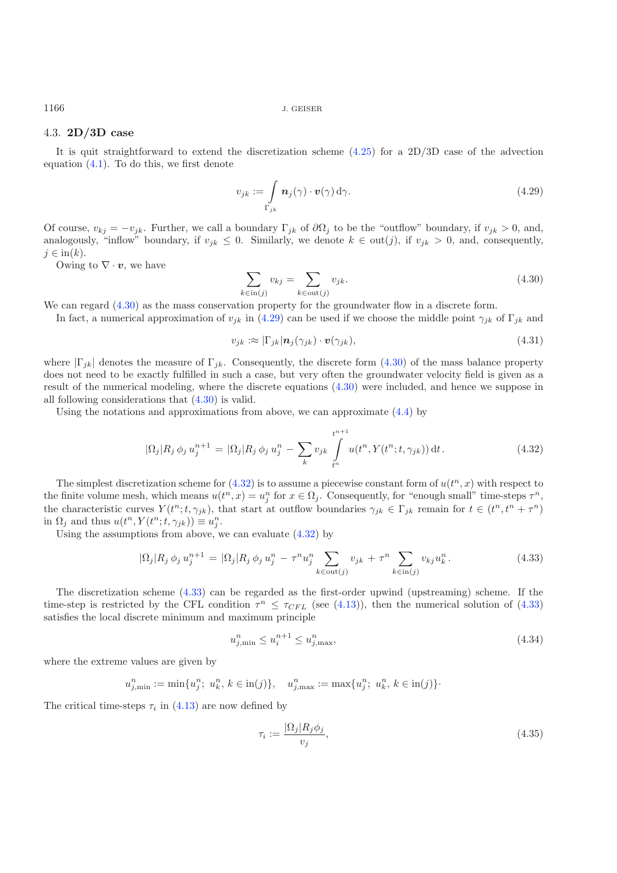### 4.3. **2D/3D case**

It is quit straightforward to extend the discretization scheme  $(4.25)$  for a 2D/3D case of the advection equation  $(4.1)$ . To do this, we first denote

<span id="page-9-0"></span>
$$
v_{jk} := \int\limits_{\Gamma_{jk}} \mathbf{n}_j(\gamma) \cdot \mathbf{v}(\gamma) d\gamma.
$$
 (4.29)

Of course,  $v_{kj} = -v_{jk}$ . Further, we call a boundary  $\Gamma_{jk}$  of  $\partial\Omega_j$  to be the "outflow" boundary, if  $v_{jk} > 0$ , and, analogously, "inflow" boundary, if  $v_{jk} \leq 0$ . Similarly, we denote  $k \in \text{out}(j)$ , if  $v_{jk} > 0$ , and, consequently,  $j \in \text{in}(k)$ .

Owing to  $\nabla \cdot \boldsymbol{v}$ , we have

$$
\sum_{k \in \text{in}(j)} v_{kj} = \sum_{k \in \text{out}(j)} v_{jk}.
$$
\n(4.30)

<span id="page-9-2"></span>We can regard  $(4.30)$  as the mass conservation property for the groundwater flow in a discrete form.

In fact, a numerical approximation of  $v_{jk}$  in [\(4.29\)](#page-9-1) can be used if we choose the middle point  $\gamma_{jk}$  of  $\Gamma_{jk}$  and

$$
v_{jk} := |\Gamma_{jk}| \mathbf{n}_j(\gamma_{jk}) \cdot \mathbf{v}(\gamma_{jk}), \qquad (4.31)
$$

where  $|\Gamma_{ik}|$  denotes the measure of  $\Gamma_{ik}$ . Consequently, the discrete form [\(4.30\)](#page-9-0) of the mass balance property does not need to be exactly fulfilled in such a case, but very often the groundwater velocity field is given as a result of the numerical modeling, where the discrete equations [\(4.30\)](#page-9-0) were included, and hence we suppose in all following considerations that [\(4.30\)](#page-9-0) is valid.

<span id="page-9-3"></span>Using the notations and approximations from above, we can approximate  $(4.4)$  by

$$
|\Omega_j| R_j \phi_j u_j^{n+1} = |\Omega_j| R_j \phi_j u_j^n - \sum_k v_{jk} \int_{t^n}^{t^{n+1}} u(t^n, Y(t^n; t, \gamma_{jk})) dt.
$$
 (4.32)

The simplest discretization scheme for  $(4.32)$  is to assume a piecewise constant form of  $u(t^n, x)$  with respect to the finite volume mesh, which means  $u(t^n, x) = u_i^n$  for  $x \in \Omega_i$ . Consequently, for "enough small" time-steps  $\tau^n$ , the characteristic curves  $Y(t^n;t,\gamma_{jk})$ , that start at outflow boundaries  $\gamma_{jk} \in \Gamma_{jk}$  remain for  $t \in (t^n,t^n+\tau^n)$ in  $\Omega_j$  and thus  $u(t^n, Y(t^n; t, \gamma_{jk})) \equiv u_j^n$ .

Using the assumptions from above, we can evaluate [\(4.32\)](#page-9-2) by

$$
|\Omega_j| R_j \phi_j u_j^{n+1} = |\Omega_j| R_j \phi_j u_j^n - \tau^n u_j^n \sum_{k \in \text{out}(j)} v_{jk} + \tau^n \sum_{k \in \text{in}(j)} v_{kj} u_k^n. \tag{4.33}
$$

The discretization scheme [\(4.33\)](#page-9-3) can be regarded as the first-order upwind (upstreaming) scheme. If the time-step is restricted by the CFL condition  $\tau^n \leq \tau_{CFL}$  (see [\(4.13\)](#page-6-5)), then the numerical solution of [\(4.33\)](#page-9-3) satisfies the local discrete minimum and maximum principle

$$
u_{j,\min}^n \le u_i^{n+1} \le u_{j,\max}^n,\tag{4.34}
$$

where the extreme values are given by

$$
u_{j,\min}^n := \min\{u_j^n;\ u_k^n,\ k \in \text{in}(j)\}, \quad u_{j,\max}^n := \max\{u_j^n;\ u_k^n,\ k \in \text{in}(j)\}.
$$

The critical time-steps  $\tau_i$  in [\(4.13\)](#page-6-5) are now defined by

$$
\tau_i := \frac{|\Omega_j| R_j \phi_j}{v_j},\tag{4.35}
$$

<span id="page-9-1"></span>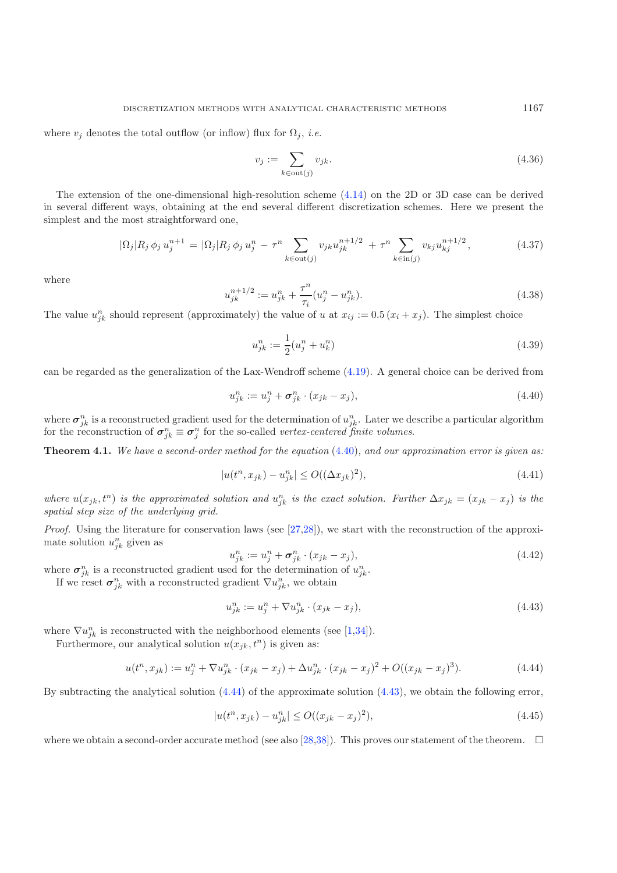<span id="page-10-3"></span>where  $v_i$  denotes the total outflow (or inflow) flux for  $\Omega_i$ , *i.e.* 

$$
v_j := \sum_{k \in \text{out}(j)} v_{jk}.
$$
\n(4.36)

The extension of the one-dimensional high-resolution scheme [\(4.14\)](#page-6-4) on the 2D or 3D case can be derived in several different ways, obtaining at the end several different discretization schemes. Here we present the simplest and the most straightforward one,

<span id="page-10-0"></span>
$$
|\Omega_j| R_j \phi_j u_j^{n+1} = |\Omega_j| R_j \phi_j u_j^n - \tau^n \sum_{k \in \text{out}(j)} v_{jk} u_{jk}^{n+1/2} + \tau^n \sum_{k \in \text{in}(j)} v_{kj} u_{kj}^{n+1/2}, \qquad (4.37)
$$

where

$$
u_{jk}^{n+1/2} := u_{jk}^n + \frac{\tau^n}{\tau_i} (u_j^n - u_{jk}^n). \tag{4.38}
$$

The value  $u_{ik}^n$  should represent (approximately) the value of u at  $x_{ij} := 0.5 (x_i + x_j)$ . The simplest choice

$$
u_{jk}^{n} := \frac{1}{2}(u_{j}^{n} + u_{k}^{n})
$$
\n(4.39)

can be regarded as the generalization of the Lax-Wendroff scheme [\(4.19\)](#page-7-6). A general choice can be derived from

$$
u_{jk}^n := u_j^n + \boldsymbol{\sigma}_{jk}^n \cdot (x_{jk} - x_j), \tag{4.40}
$$

where  $\sigma_{ik}^n$  is a reconstructed gradient used for the determination of  $u_{ik}^n$ . Later we describe a particular algorithm for the reconstruction of  $\sigma_{jk}^n \equiv \sigma_j^n$  for the so-called *vertex-centered finite volumes*.

**Theorem 4.1.** *We have a second-order method for the equation* [\(4.40\)](#page-10-0)*, and our approximation error is given as:*

<span id="page-10-2"></span>
$$
|u(t^n, x_{jk}) - u_{jk}^n| \le O((\Delta x_{jk})^2),\tag{4.41}
$$

<span id="page-10-1"></span>where  $u(x_{jk}, t^n)$  is the approximated solution and  $u_{jk}^n$  is the exact solution. Further  $\Delta x_{jk} = (x_{jk} - x_j)$  is the *spatial step size of the underlying grid.*

*Proof.* Using the literature for conservation laws (see [\[27](#page-26-16)[,28\]](#page-26-6)), we start with the reconstruction of the approximate solution  $u_{ik}^n$  given as

$$
u_{jk}^n := u_j^n + \sigma_{jk}^n \cdot (x_{jk} - x_j),
$$
\n(4.42)

where  $\sigma_{ik}^n$  is a reconstructed gradient used for the determination of  $u_{ik}^n$ .

If we reset  $\sigma_{ik}^n$  with a reconstructed gradient  $\nabla u_{ik}^n$ , we obtain

$$
u_{jk}^{n} := u_{j}^{n} + \nabla u_{jk}^{n} \cdot (x_{jk} - x_{j}), \qquad (4.43)
$$

where  $\nabla u_{ik}^n$  is reconstructed with the neighborhood elements (see [\[1](#page-25-1)[,34\]](#page-26-17)).

Furthermore, our analytical solution  $u(x_{jk}, t^n)$  is given as:

$$
u(t^n, x_{jk}) := u_j^n + \nabla u_{jk}^n \cdot (x_{jk} - x_j) + \Delta u_{jk}^n \cdot (x_{jk} - x_j)^2 + O((x_{jk} - x_j)^3). \tag{4.44}
$$

By subtracting the analytical solution [\(4.44\)](#page-10-1) of the approximate solution [\(4.43\)](#page-10-2), we obtain the following error,

$$
|u(t^n, x_{jk}) - u_{jk}^n| \le O((x_{jk} - x_j)^2),
$$
\n(4.45)

where we obtain a second-order accurate method (see also [\[28](#page-26-6)[,38\]](#page-26-18)). This proves our statement of the theorem.  $\Box$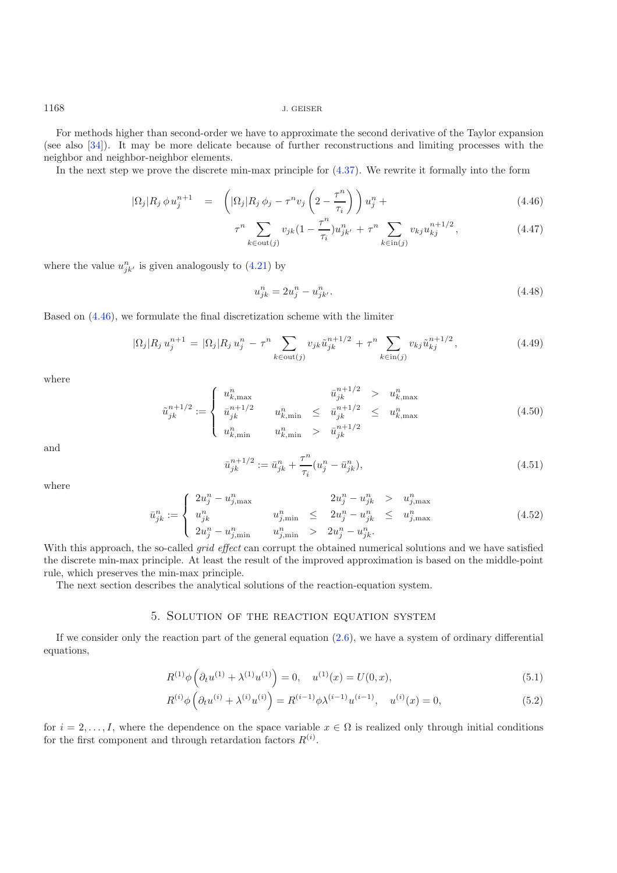For methods higher than second-order we have to approximate the second derivative of the Taylor expansion (see also [\[34](#page-26-17)]). It may be more delicate because of further reconstructions and limiting processes with the neighbor and neighbor-neighbor elements.

<span id="page-11-1"></span>In the next step we prove the discrete min-max principle for [\(4.37\)](#page-10-3). We rewrite it formally into the form

$$
|\Omega_j| R_j \phi u_j^{n+1} = \left( |\Omega_j| R_j \phi_j - \tau^n v_j \left( 2 - \frac{\tau^n}{\tau_i} \right) \right) u_j^n + \tag{4.46}
$$

$$
\tau^{n} \sum_{k \in \text{out}(j)} v_{jk} (1 - \frac{\tau^{n}}{\tau_{i}}) u_{jk'}^{n} + \tau^{n} \sum_{k \in \text{in}(j)} v_{kj} u_{kj}^{n+1/2}, \qquad (4.47)
$$

where the value  $u_{jk}^n$  is given analogously to  $(4.21)$  by

$$
u_{jk}^{n} = 2u_{j}^{n} - u_{jk}^{n}.
$$
\n(4.48)

Based on [\(4.46\)](#page-11-1), we formulate the final discretization scheme with the limiter

$$
|\Omega_j| R_j u_j^{n+1} = |\Omega_j| R_j u_j^n - \tau^n \sum_{k \in \text{out}(j)} v_{jk} \tilde{u}_{jk}^{n+1/2} + \tau^n \sum_{k \in \text{in}(j)} v_{kj} \tilde{u}_{kj}^{n+1/2}, \qquad (4.49)
$$

where

$$
\tilde{u}_{jk}^{n+1/2} := \begin{cases}\n u_{k,\max}^n & \tilde{u}_{jk}^{n+1/2} > u_{k,\max}^n \\
 \bar{u}_{jk}^{n+1/2} & u_{k,\min}^n \le \bar{u}_{jk}^{n+1/2} \le u_{k,\max}^n \\
 u_{k,\min}^n & u_{k,\min}^n > \bar{u}_{jk}^{n+1/2}\n\end{cases}
$$
\n(4.50)

and

$$
\bar{u}_{jk}^{n+1/2} := \bar{u}_{jk}^n + \frac{\tau^n}{\tau_i} (u_j^n - \bar{u}_{jk}^n),\tag{4.51}
$$

where

$$
\bar{u}_{jk}^{n} := \begin{cases}\n2u_{j}^{n} - u_{j,\max}^{n} & 2u_{j}^{n} - u_{jk}^{n} > u_{j,\max}^{n} \\
u_{jk}^{n} & u_{j,\min}^{n} \le 2u_{j}^{n} - u_{jk}^{n} \le u_{j,\max}^{n} \\
2u_{j}^{n} - u_{j,\min}^{n} & u_{j,\min}^{n} > 2u_{j}^{n} - u_{jk}^{n}.\n\end{cases}
$$
\n(4.52)

With this approach, the so-called *grid effect* can corrupt the obtained numerical solutions and we have satisfied the discrete min-max principle. At least the result of the improved approximation is based on the middle-point rule, which preserves the min-max principle.

The next section describes the analytical solutions of the reaction-equation system.

### 5. Solution of the reaction equation system

<span id="page-11-2"></span><span id="page-11-0"></span>If we consider only the reaction part of the general equation  $(2.6)$ , we have a system of ordinary differential equations,

$$
R^{(1)}\phi\left(\partial_t u^{(1)} + \lambda^{(1)} u^{(1)}\right) = 0, \quad u^{(1)}(x) = U(0, x),\tag{5.1}
$$

$$
R^{(i)}\phi\left(\partial_t u^{(i)} + \lambda^{(i)} u^{(i)}\right) = R^{(i-1)}\phi \lambda^{(i-1)} u^{(i-1)}, \quad u^{(i)}(x) = 0,
$$
\n(5.2)

for  $i = 2, \ldots, I$ , where the dependence on the space variable  $x \in \Omega$  is realized only through initial conditions for the first component and through retardation factors  $R^{(i)}$ .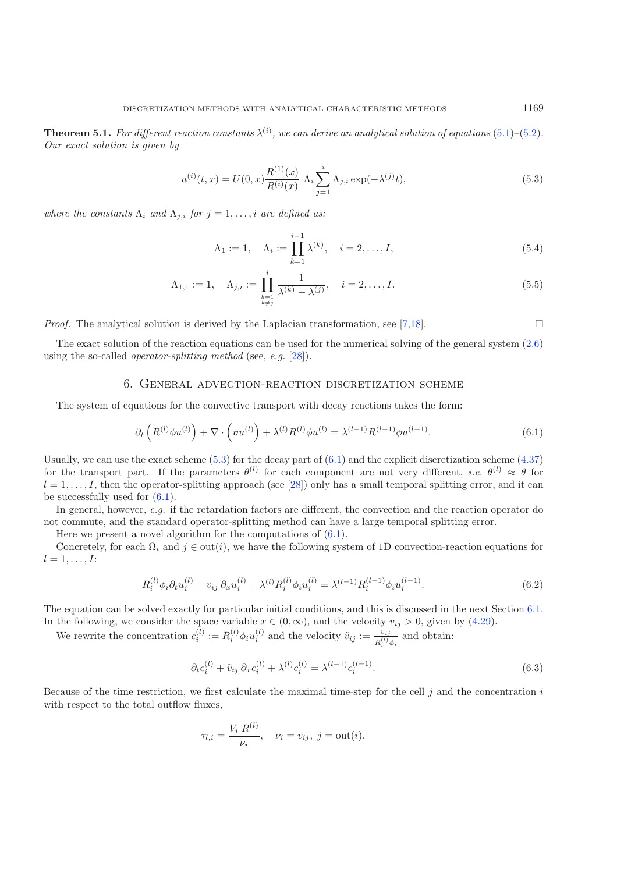<span id="page-12-1"></span>**Theorem 5.1.** For different reaction constants  $\lambda^{(i)}$ , we can derive an analytical solution of equations  $(5.1)$ – $(5.2)$ . *Our exact solution is given by*

$$
u^{(i)}(t,x) = U(0,x) \frac{R^{(1)}(x)}{R^{(i)}(x)} \Lambda_i \sum_{j=1}^i \Lambda_{j,i} \exp(-\lambda^{(j)} t), \qquad (5.3)
$$

*where the constants*  $\Lambda_i$  *and*  $\Lambda_{j,i}$  *for*  $j = 1, \ldots, i$  *are defined as:* 

$$
\Lambda_1 := 1, \quad \Lambda_i := \prod_{k=1}^{i-1} \lambda^{(k)}, \quad i = 2, \dots, I,
$$
\n(5.4)

$$
\Lambda_{1,1} := 1, \quad \Lambda_{j,i} := \prod_{\substack{k=1 \ k \neq j}}^{i} \frac{1}{\lambda^{(k)} - \lambda^{(j)}}, \quad i = 2, \dots, I.
$$
\n(5.5)

*Proof.* The analytical solution is derived by the Laplacian transformation, see [\[7](#page-25-8)[,18\]](#page-26-19).  $\Box$ 

<span id="page-12-0"></span>The exact solution of the reaction equations can be used for the numerical solving of the general system [\(2.6\)](#page-3-1) using the so-called *operator-splitting method* (see, *e.g.* [\[28](#page-26-6)]).

#### 6. General advection-reaction discretization scheme

<span id="page-12-2"></span>The system of equations for the convective transport with decay reactions takes the form:

$$
\partial_t \left( R^{(l)} \phi u^{(l)} \right) + \nabla \cdot \left( \mathbf{v} u^{(l)} \right) + \lambda^{(l)} R^{(l)} \phi u^{(l)} = \lambda^{(l-1)} R^{(l-1)} \phi u^{(l-1)}.
$$
\n(6.1)

Usually, we can use the exact scheme  $(5.3)$  for the decay part of  $(6.1)$  and the explicit discretization scheme  $(4.37)$ for the transport part. If the parameters  $\theta^{(l)}$  for each component are not very different, *i.e.*  $\theta^{(l)} \approx \theta$  for  $l = 1, \ldots, I$ , then the operator-splitting approach (see [\[28](#page-26-6)]) only has a small temporal splitting error, and it can be successfully used for  $(6.1)$ .

In general, however, *e.g.* if the retardation factors are different, the convection and the reaction operator do not commute, and the standard operator-splitting method can have a large temporal splitting error.

Here we present a novel algorithm for the computations of  $(6.1)$ .

Concretely, for each  $\Omega_i$  and  $j \in \text{out}(i)$ , we have the following system of 1D convection-reaction equations for  $l = 1, \ldots, I:$ 

$$
R_i^{(l)} \phi_i \partial_t u_i^{(l)} + v_{ij} \partial_x u_i^{(l)} + \lambda^{(l)} R_i^{(l)} \phi_i u_i^{(l)} = \lambda^{(l-1)} R_i^{(l-1)} \phi_i u_i^{(l-1)}.
$$
\n(6.2)

The equation can be solved exactly for particular initial conditions, and this is discussed in the next Section [6.1.](#page-13-0) In the following, we consider the space variable  $x \in (0, \infty)$ , and the velocity  $v_{ij} > 0$ , given by [\(4.29\)](#page-9-1).

<span id="page-12-3"></span>We rewrite the concentration  $c_i^{(l)} := R_i^{(l)} \phi_i u_i^{(l)}$  and the velocity  $\tilde{v}_{ij} := \frac{v_{ij}}{R_i^{(l)} \phi_i}$  and obtain:

$$
\partial_t c_i^{(l)} + \tilde{v}_{ij} \partial_x c_i^{(l)} + \lambda^{(l)} c_i^{(l)} = \lambda^{(l-1)} c_i^{(l-1)}.
$$
\n(6.3)

Because of the time restriction, we first calculate the maximal time-step for the cell  $j$  and the concentration  $i$ with respect to the total outflow fluxes.

$$
\tau_{l,i} = \frac{V_i R^{(l)}}{\nu_i}, \quad \nu_i = v_{ij}, \ j = \text{out}(i).
$$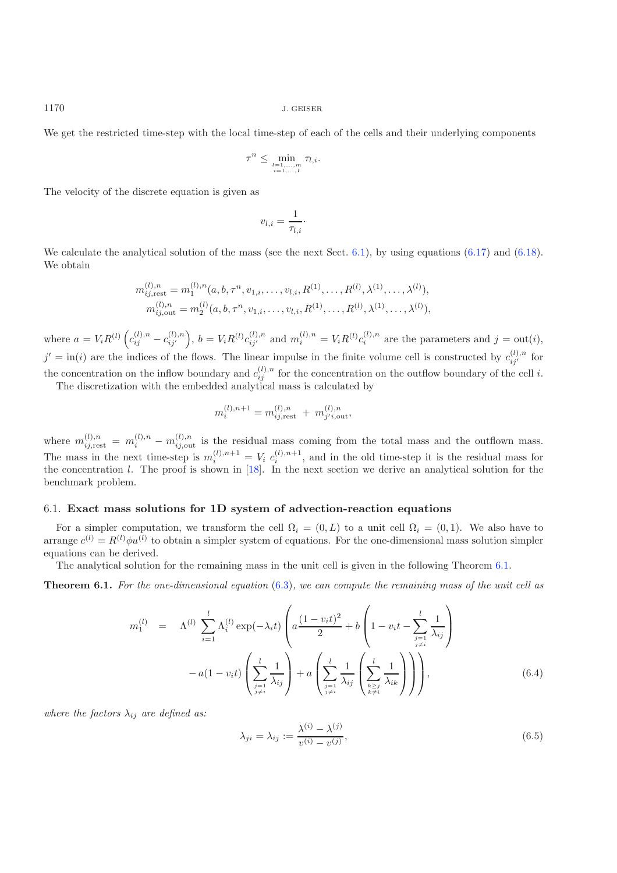We get the restricted time-step with the local time-step of each of the cells and their underlying components

$$
\tau^n \leq \min_{\substack{l=1,\ldots,m \\ i=1,\ldots,I}} \tau_{l,i}.
$$

The velocity of the discrete equation is given as

$$
v_{l,i} = \frac{1}{\tau_{l,i}}.
$$

We calculate the analytical solution of the mass (see the next Sect.  $6.1$ ), by using equations  $(6.17)$  and  $(6.18)$ . We obtain

$$
m_{ij, \text{rest}}^{(l), n} = m_1^{(l), n}(a, b, \tau^n, v_{1,i}, \dots, v_{l,i}, R^{(1)}, \dots, R^{(l)}, \lambda^{(1)}, \dots, \lambda^{(l)}),
$$
  

$$
m_{ij, \text{out}}^{(l), n} = m_2^{(l)}(a, b, \tau^n, v_{1,i}, \dots, v_{l,i}, R^{(1)}, \dots, R^{(l)}, \lambda^{(1)}, \dots, \lambda^{(l)}),
$$

where  $a = V_i R^{(l)} \left( c_{ij}^{(l),n} - c_{ij'}^{(l),n} \right)$ ,  $b = V_i R^{(l)} c_{ij'}^{(l),n}$  and  $m_i^{(l),n} = V_i R^{(l)} c_i^{(l),n}$  are the parameters and  $j = \text{out}(i)$ ,  $j' = \text{in}(i)$  are the indices of the flows. The linear impulse in the finite volume cell is constructed by  $c_{ij'}^{(l),n}$  for the concentration on the inflow boundary and  $c_{ij}^{(l),n}$  for the concentration on the outflow boundary of the cell i.

The discretization with the embedded analytical mass is calculated by

$$
m_i^{(l),n+1} = m_{ij,rest}^{(l),n} + m_{j'i,out}^{(l),n},
$$

where  $m_{ij,rest}^{(l),n} = m_i^{(l),n} - m_{ij,out}^{(l),n}$  is the residual mass coming from the total mass and the outflown mass. The mass in the next time-step is  $m_i^{(l),n+1} = V_i c_i^{(l),n+1}$ , and in the old time-step it is the residual mass for the concentration  $l$ . The proof is shown in  $[18]$ . In the next section we derive an analytical solution for the benchmark problem.

### <span id="page-13-0"></span>6.1. **Exact mass solutions for 1D system of advection-reaction equations**

For a simpler computation, we transform the cell  $\Omega_i = (0, L)$  to a unit cell  $\Omega_i = (0, 1)$ . We also have to arrange  $c^{(l)} = R^{(l)} \phi u^{(l)}$  to obtain a simpler system of equations. For the one-dimensional mass solution simpler equations can be derived.

The analytical solution for the remaining mass in the unit cell is given in the following Theorem [6.1.](#page-13-1)

<span id="page-13-2"></span><span id="page-13-1"></span>**Theorem 6.1.** *For the one-dimensional equation* [\(6.3\)](#page-12-3)*, we can compute the remaining mass of the unit cell as*

$$
m_1^{(l)} = \Lambda^{(l)} \sum_{i=1}^l \Lambda_i^{(l)} \exp(-\lambda_i t) \left( a \frac{(1 - v_i t)^2}{2} + b \left( 1 - v_i t - \sum_{\substack{j=1 \ j \neq i}}^l \frac{1}{\lambda_{ij}} \right) - a(1 - v_i t) \left( \sum_{\substack{j=1 \ j \neq i}}^l \frac{1}{\lambda_{ij}} \right) + a \left( \sum_{\substack{j=1 \ j \neq i}}^l \frac{1}{\lambda_{ij}} \left( \sum_{\substack{k \ge j \ k \neq i}}^l \frac{1}{\lambda_{ik}} \right) \right) \right),
$$
\n(6.4)

*where the factors*  $\lambda_{ij}$  *are defined as:* 

$$
\lambda_{ji} = \lambda_{ij} := \frac{\lambda^{(i)} - \lambda^{(j)}}{v^{(i)} - v^{(j)}},
$$
\n(6.5)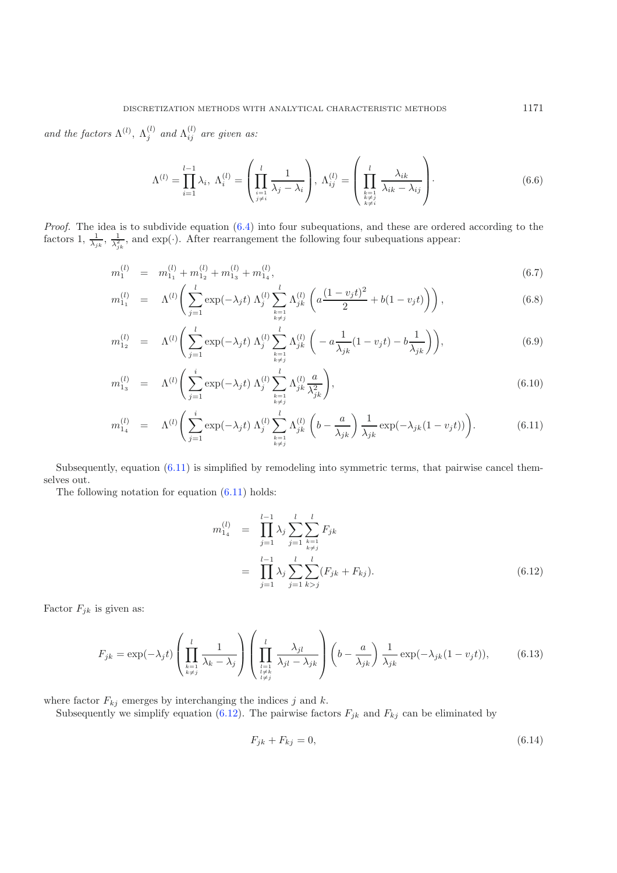and the factors  $\Lambda^{(l)}$ ,  $\Lambda^{(l)}_j$  and  $\Lambda^{(l)}_{ij}$  are given as:

$$
\Lambda^{(l)} = \prod_{i=1}^{l-1} \lambda_i, \ \Lambda_i^{(l)} = \left(\prod_{\substack{i=1 \ i \neq i}}^l \frac{1}{\lambda_j - \lambda_i}\right), \ \Lambda_{ij}^{(l)} = \left(\prod_{\substack{k=1 \ k \neq j}}^l \frac{\lambda_{ik}}{\lambda_{ik} - \lambda_{ij}}\right). \tag{6.6}
$$

<span id="page-14-0"></span>*Proof.* The idea is to subdivide equation [\(6.4\)](#page-13-2) into four subequations, and these are ordered according to the factors 1,  $\frac{1}{\lambda_{jk}}$ ,  $\frac{1}{\lambda_{jk}^2}$ , and exp(·). After rearrangement the following four subequations appear:

$$
m_1^{(l)} = m_{1_1}^{(l)} + m_{1_2}^{(l)} + m_{1_3}^{(l)} + m_{1_4}^{(l)},
$$
\n(6.7)

$$
m_{1_1}^{(l)} = \Lambda^{(l)} \left( \sum_{j=1}^l \exp(-\lambda_j t) \Lambda_j^{(l)} \sum_{\substack{k=1 \ k \neq j}}^l \Lambda_{jk}^{(l)} \left( a \frac{(1-v_j t)^2}{2} + b(1-v_j t) \right) \right), \tag{6.8}
$$

$$
m_{1_2}^{(l)} = \Lambda^{(l)} \left( \sum_{j=1}^l \exp(-\lambda_j t) \Lambda_j^{(l)} \sum_{\substack{k=1 \ k \neq j}}^l \Lambda_{jk}^{(l)} \left( -a \frac{1}{\lambda_{jk}} (1 - v_j t) - b \frac{1}{\lambda_{jk}} \right) \right), \tag{6.9}
$$

$$
m_{1_3}^{(l)} = \Lambda^{(l)} \left( \sum_{j=1}^i \exp(-\lambda_j t) \Lambda_j^{(l)} \sum_{\substack{k=1 \ k \neq j}}^l \Lambda_{jk}^{(l)} \frac{a}{\lambda_{jk}^2} \right), \tag{6.10}
$$

$$
m_{1_4}^{(l)} = \Lambda^{(l)} \left( \sum_{j=1}^i \exp(-\lambda_j t) \Lambda_j^{(l)} \sum_{\substack{k=1 \ k \neq j}}^l \Lambda_{jk}^{(l)} \left( b - \frac{a}{\lambda_{jk}} \right) \frac{1}{\lambda_{jk}} \exp(-\lambda_{jk} (1 - v_j t)) \right).
$$
 (6.11)

Subsequently, equation  $(6.11)$  is simplified by remodeling into symmetric terms, that pairwise cancel themselves out.

The following notation for equation  $(6.11)$  holds:

<span id="page-14-1"></span>
$$
m_{1_4}^{(l)} = \prod_{j=1}^{l-1} \lambda_j \sum_{j=1}^{l} \sum_{\substack{k=1 \ k \neq j}}^{l} F_{jk}
$$
  
= 
$$
\prod_{j=1}^{l-1} \lambda_j \sum_{j=1}^{l} \sum_{k>j}^{l} (F_{jk} + F_{kj}).
$$
 (6.12)

Factor  $F_{jk}$  is given as:

$$
F_{jk} = \exp(-\lambda_j t) \left( \prod_{\substack{k=1 \ k \neq j}}^l \frac{1}{\lambda_k - \lambda_j} \right) \left( \prod_{\substack{l=1 \ l \neq k}}^l \frac{\lambda_{jl}}{\lambda_{jl} - \lambda_{jk}} \right) \left( b - \frac{a}{\lambda_{jk}} \right) \frac{1}{\lambda_{jk}} \exp(-\lambda_{jk} (1 - v_j t)), \tag{6.13}
$$

where factor  $F_{kj}$  emerges by interchanging the indices j and k.

Subsequently we simplify equation [\(6.12\)](#page-14-1). The pairwise factors  $F_{jk}$  and  $F_{kj}$  can be eliminated by

$$
F_{jk} + F_{kj} = 0,\t\t(6.14)
$$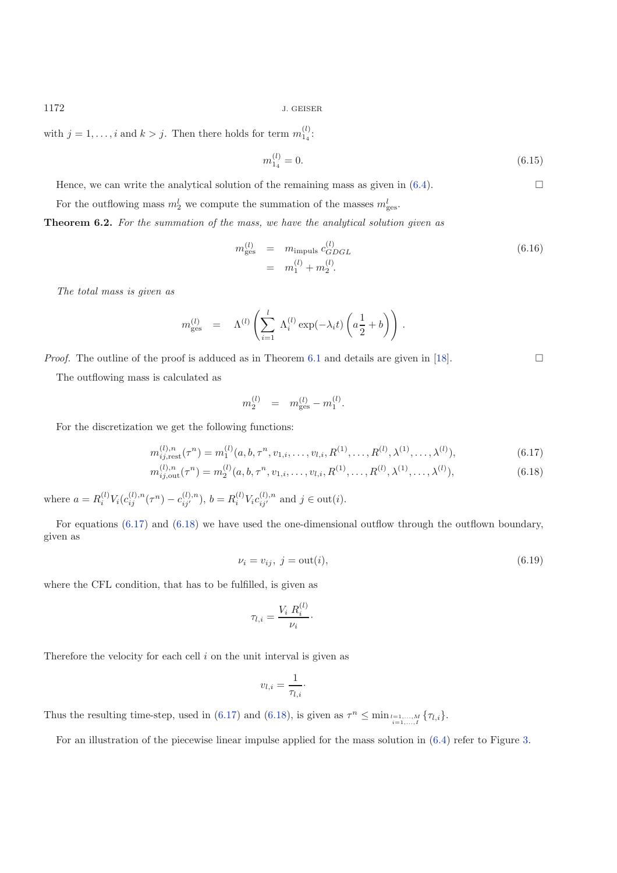with  $j = 1, ..., i$  and  $k > j$ . Then there holds for term  $m_{14}^{(l)}$ :

$$
m_{1_4}^{(l)} = 0.\t\t(6.15)
$$

Hence, we can write the analytical solution of the remaining mass as given in  $(6.4)$ .  $\Box$ 

For the outflowing mass  $m_2^l$  we compute the summation of the masses  $m_{\text{ges}}^l$ .

**Theorem 6.2.** *For the summation of the mass, we have the analytical solution given as*

$$
m_{\text{ges}}^{(l)} = m_{\text{impuls}} c_{GDGL}^{(l)} = m_1^{(l)} + m_2^{(l)}.
$$
\n(6.16)

<span id="page-15-0"></span>*The total mass is given as*

$$
m_{\text{ges}}^{(l)} = \Lambda^{(l)} \left( \sum_{i=1}^{l} \Lambda_i^{(l)} \exp(-\lambda_i t) \left( a \frac{1}{2} + b \right) \right).
$$

*Proof.* The outline of the proof is adduced as in Theorem [6.1](#page-13-1) and details are given in [\[18\]](#page-26-19).  $\Box$ 

The outflowing mass is calculated as

$$
m_2^{(l)} = m_{\text{ges}}^{(l)} - m_1^{(l)}.
$$

For the discretization we get the following functions:

$$
m_{ij, \text{rest}}^{(l), n}(\tau^n) = m_1^{(l)}(a, b, \tau^n, v_{1, i}, \dots, v_{l, i}, R^{(1)}, \dots, R^{(l)}, \lambda^{(1)}, \dots, \lambda^{(l)}), \tag{6.17}
$$

$$
m_{ij,out}^{(l),n}(\tau^n) = m_2^{(l)}(a, b, \tau^n, v_{1,i}, \dots, v_{l,i}, R^{(1)}, \dots, R^{(l)}, \lambda^{(1)}, \dots, \lambda^{(l)}),
$$
\n(6.18)

where  $a = R_i^{(l)} V_i(c_{ij}^{(l),n}(\tau^n) - c_{ij'}^{(l),n}), b = R_i^{(l)} V_i c_{ij'}^{(l),n}$  and  $j \in \text{out}(i)$ .

For equations [\(6.17\)](#page-15-0) and [\(6.18\)](#page-15-0) we have used the one-dimensional outflow through the outflown boundary, given as

$$
\nu_i = v_{ij}, \ j = \text{out}(i),\tag{6.19}
$$

where the CFL condition, that has to be fulfilled, is given as

$$
\tau_{l,i} = \frac{V_i R_i^{(l)}}{\nu_i}.
$$

Therefore the velocity for each cell  $i$  on the unit interval is given as

$$
v_{l,i} = \frac{1}{\tau_{l,i}} \cdot
$$

Thus the resulting time-step, used in [\(6.17\)](#page-15-0) and [\(6.18\)](#page-15-0), is given as  $\tau^n \leq \min_{i=1,\dots,N} {\tau_{l,i}}$ .

For an illustration of the piecewise linear impulse applied for the mass solution in [\(6.4\)](#page-13-2) refer to Figure [3.](#page-16-1)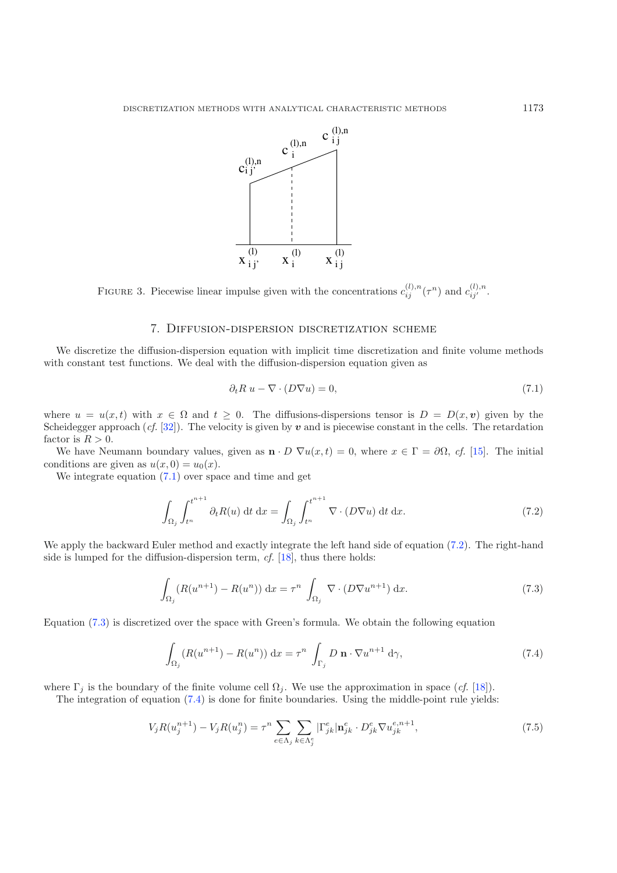

<span id="page-16-1"></span>FIGURE 3. Piecewise linear impulse given with the concentrations  $c_{ij}^{(l),n}(\tau^n)$  and  $c_{ij}^{(l),n}$ .

### <span id="page-16-2"></span>7. Diffusion-dispersion discretization scheme

<span id="page-16-0"></span>We discretize the diffusion-dispersion equation with implicit time discretization and finite volume methods with constant test functions. We deal with the diffusion-dispersion equation given as

$$
\partial_t R \ u - \nabla \cdot (D \nabla u) = 0,\tag{7.1}
$$

where  $u = u(x, t)$  with  $x \in \Omega$  and  $t \geq 0$ . The diffusions-dispersions tensor is  $D = D(x, v)$  given by the Scheidegger approach  $(cf. [32])$  $(cf. [32])$  $(cf. [32])$ . The velocity is given by  $v$  and is piecewise constant in the cells. The retardation factor is  $R > 0$ .

We have Neumann boundary values, given as  $\mathbf{n} \cdot D \nabla u(x, t) = 0$ , where  $x \in \Gamma = \partial \Omega$ , *cf.* [\[15\]](#page-26-14). The initial conditions are given as  $u(x, 0) = u_0(x)$ .

<span id="page-16-3"></span>We integrate equation  $(7.1)$  over space and time and get

$$
\int_{\Omega_j} \int_{t^n}^{t^{n+1}} \partial_t R(u) \, \mathrm{d}t \, \mathrm{d}x = \int_{\Omega_j} \int_{t^n}^{t^{n+1}} \nabla \cdot (D \nabla u) \, \mathrm{d}t \, \mathrm{d}x. \tag{7.2}
$$

We apply the backward Euler method and exactly integrate the left hand side of equation [\(7.2\)](#page-16-3). The right-hand side is lumped for the diffusion-dispersion term, *cf.* [\[18\]](#page-26-19), thus there holds:

$$
\int_{\Omega_j} (R(u^{n+1}) - R(u^n)) \, \mathrm{d}x = \tau^n \int_{\Omega_j} \nabla \cdot (D \nabla u^{n+1}) \, \mathrm{d}x. \tag{7.3}
$$

<span id="page-16-5"></span><span id="page-16-4"></span>Equation [\(7.3\)](#page-16-4) is discretized over the space with Green's formula. We obtain the following equation

$$
\int_{\Omega_j} (R(u^{n+1}) - R(u^n)) \, \mathrm{d}x = \tau^n \int_{\Gamma_j} D \, \mathbf{n} \cdot \nabla u^{n+1} \, \mathrm{d}\gamma,\tag{7.4}
$$

where  $\Gamma_i$  is the boundary of the finite volume cell  $\Omega_i$ . We use the approximation in space (*cf.* [\[18](#page-26-19)]).

The integration of equation [\(7.4\)](#page-16-5) is done for finite boundaries. Using the middle-point rule yields:

$$
V_j R(u_j^{n+1}) - V_j R(u_j^n) = \tau^n \sum_{e \in \Lambda_j} \sum_{k \in \Lambda_j^e} |\Gamma_{jk}^e| \mathbf{n}_{jk}^e \cdot D_{jk}^e \nabla u_{jk}^{e,n+1},
$$
\n(7.5)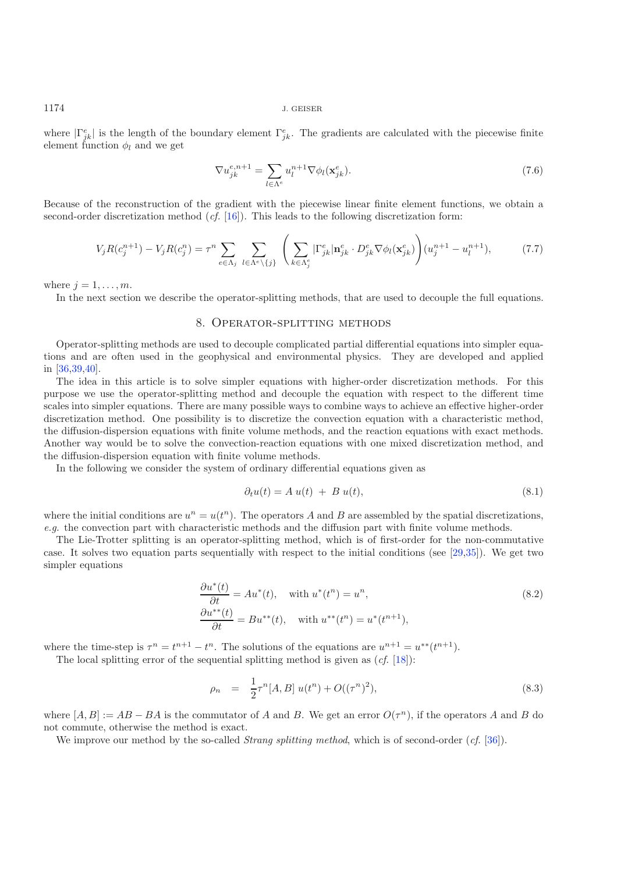where  $|\Gamma_{ik}^e|$  is the length of the boundary element  $\Gamma_{ik}^e$ . The gradients are calculated with the piecewise finite element function  $\phi_l$  and we get

$$
\nabla u_{jk}^{e,n+1} = \sum_{l \in \Lambda^e} u_l^{n+1} \nabla \phi_l(\mathbf{x}_{jk}^e). \tag{7.6}
$$

Because of the reconstruction of the gradient with the piecewise linear finite element functions, we obtain a second-order discretization method (*cf.* [\[16\]](#page-26-21)). This leads to the following discretization form:

$$
V_j R(c_j^{n+1}) - V_j R(c_j^n) = \tau^n \sum_{e \in \Lambda_j} \sum_{l \in \Lambda^e \backslash \{j\}} \left( \sum_{k \in \Lambda_j^e} |\Gamma_{jk}^e| \mathbf{n}_{jk}^e \cdot D_{jk}^e \nabla \phi_l(\mathbf{x}_{jk}^e) \right) (u_j^{n+1} - u_l^{n+1}), \tag{7.7}
$$

<span id="page-17-0"></span>where  $j = 1, \ldots, m$ .

In the next section we describe the operator-splitting methods, that are used to decouple the full equations.

#### 8. Operator-splitting methods

Operator-splitting methods are used to decouple complicated partial differential equations into simpler equations and are often used in the geophysical and environmental physics. They are developed and applied in [\[36](#page-26-22)[,39](#page-26-23)[,40\]](#page-26-24).

The idea in this article is to solve simpler equations with higher-order discretization methods. For this purpose we use the operator-splitting method and decouple the equation with respect to the different time scales into simpler equations. There are many possible ways to combine ways to achieve an effective higher-order discretization method. One possibility is to discretize the convection equation with a characteristic method, the diffusion-dispersion equations with finite volume methods, and the reaction equations with exact methods. Another way would be to solve the convection-reaction equations with one mixed discretization method, and the diffusion-dispersion equation with finite volume methods.

In the following we consider the system of ordinary differential equations given as

$$
\partial_t u(t) = A u(t) + B u(t), \qquad (8.1)
$$

where the initial conditions are  $u^n = u(t^n)$ . The operators A and B are assembled by the spatial discretizations, *e.g.* the convection part with characteristic methods and the diffusion part with finite volume methods.

The Lie-Trotter splitting is an operator-splitting method, which is of first-order for the non-commutative case. It solves two equation parts sequentially with respect to the initial conditions (see [\[29](#page-26-3)[,35](#page-26-25)]). We get two simpler equations

$$
\frac{\partial u^*(t)}{\partial t} = Au^*(t), \quad \text{with } u^*(t^n) = u^n,
$$
\n
$$
\frac{\partial u^{**}(t)}{\partial t} = Bu^{**}(t), \quad \text{with } u^{**}(t^n) = u^*(t^{n+1}),
$$
\n(8.2)

where the time-step is  $\tau^n = t^{n+1} - t^n$ . The solutions of the equations are  $u^{n+1} = u^{**}(t^{n+1})$ .

The local splitting error of the sequential splitting method is given as (*cf.* [\[18\]](#page-26-19)):

$$
\rho_n = \frac{1}{2} \tau^n [A, B] \ u(t^n) + O((\tau^n)^2), \tag{8.3}
$$

where  $[A, B] := AB - BA$  is the commutator of A and B. We get an error  $O(\tau^n)$ , if the operators A and B do not commute, otherwise the method is exact.

We improve our method by the so-called *Strang splitting method*, which is of second-order (*cf.* [\[36\]](#page-26-22)).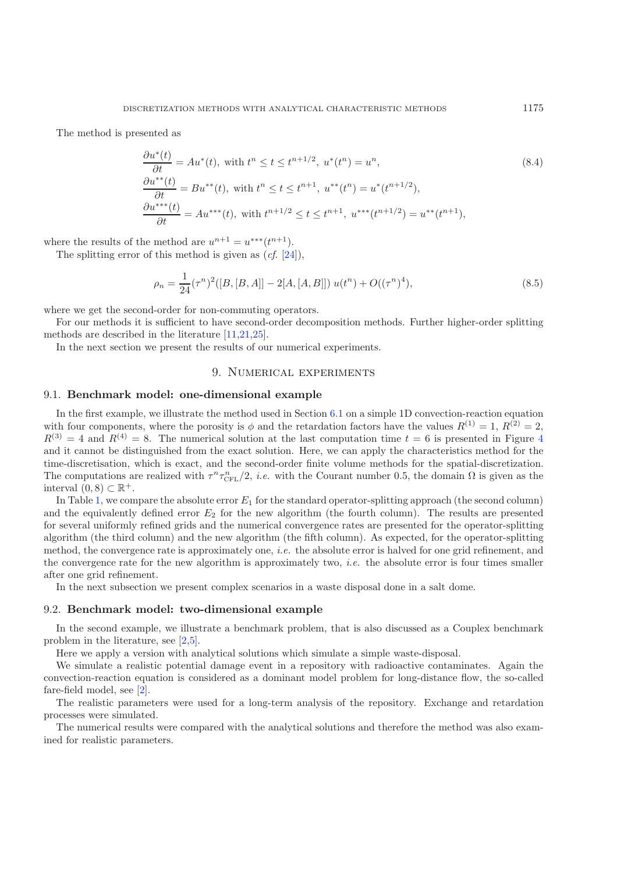The method is presented as

$$
\frac{\partial u^*(t)}{\partial t} = Au^*(t), \text{ with } t^n \le t \le t^{n+1/2}, u^*(t^n) = u^n,
$$
\n
$$
\frac{\partial u^{**}(t)}{\partial t} = Bu^{**}(t), \text{ with } t^n \le t \le t^{n+1}, u^{**}(t^n) = u^*(t^{n+1/2}),
$$
\n
$$
\frac{\partial u^{***}(t)}{\partial t} = Au^{***}(t), \text{ with } t^{n+1/2} \le t \le t^{n+1}, u^{***}(t^{n+1/2}) = u^{**}(t^{n+1}),
$$
\n(8.4)

where the results of the method are  $u^{n+1} = u^{***}(t^{n+1})$ .

The splitting error of this method is given as (*cf.* [\[24](#page-26-26)]),

$$
\rho_n = \frac{1}{24} (\tau^n)^2 ([B, [B, A]] - 2[A, [A, B]]) u(t^n) + O((\tau^n)^4), \tag{8.5}
$$

where we get the second-order for non-commuting operators.

For our methods it is sufficient to have second-order decomposition methods. Further higher-order splitting methods are described in the literature [\[11](#page-26-27)[,21](#page-26-28)[,25\]](#page-26-2).

In the next section we present the results of our numerical experiments.

## 9. Numerical experiments

#### <span id="page-18-0"></span>9.1. **Benchmark model: one-dimensional example**

In the first example, we illustrate the method used in Section [6.1](#page-13-0) on a simple 1D convection-reaction equation with four components, where the porosity is  $\phi$  and the retardation factors have the values  $R^{(1)} = 1$ ,  $R^{(2)} = 2$ ,  $R^{(3)} = 4$  $R^{(3)} = 4$  and  $R^{(4)} = 8$ . The numerical solution at the last computation time  $t = 6$  is presented in Figure 4 and it cannot be distinguished from the exact solution. Here, we can apply the characteristics method for the time-discretisation, which is exact, and the second-order finite volume methods for the spatial-discretization. The computations are realized with  $\tau^n \tau_{\text{CFL}}^n/2$ , *i.e.* with the Courant number 0.5, the domain  $\Omega$  is given as the interval  $(0, 8) \subset \mathbb{R}^+$ .

In Table [1,](#page-19-1) we compare the absolute error  $E_1$  for the standard operator-splitting approach (the second column) and the equivalently defined error  $E_2$  for the new algorithm (the fourth column). The results are presented for several uniformly refined grids and the numerical convergence rates are presented for the operator-splitting algorithm (the third column) and the new algorithm (the fifth column). As expected, for the operator-splitting method, the convergence rate is approximately one, *i.e.* the absolute error is halved for one grid refinement, and the convergence rate for the new algorithm is approximately two, *i.e.* the absolute error is four times smaller after one grid refinement.

In the next subsection we present complex scenarios in a waste disposal done in a salt dome.

#### 9.2. **Benchmark model: two-dimensional example**

In the second example, we illustrate a benchmark problem, that is also discussed as a Couplex benchmark problem in the literature, see [\[2](#page-25-3)[,5\]](#page-25-4).

Here we apply a version with analytical solutions which simulate a simple waste-disposal.

We simulate a realistic potential damage event in a repository with radioactive contaminates. Again the convection-reaction equation is considered as a dominant model problem for long-distance flow, the so-called fare-field model, see [\[2\]](#page-25-3).

The realistic parameters were used for a long-term analysis of the repository. Exchange and retardation processes were simulated.

The numerical results were compared with the analytical solutions and therefore the method was also examined for realistic parameters.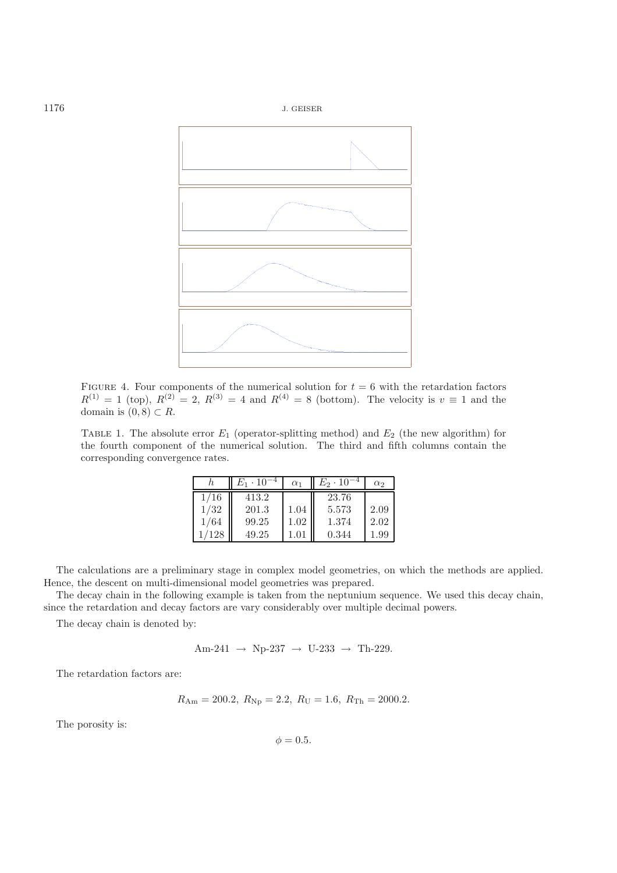<span id="page-19-0"></span>

<span id="page-19-1"></span>FIGURE 4. Four components of the numerical solution for  $t = 6$  with the retardation factors  $R^{(1)} = 1$  (top),  $R^{(2)} = 2$ ,  $R^{(3)} = 4$  and  $R^{(4)} = 8$  (bottom). The velocity is  $v \equiv 1$  and the domain is  $(0, 8) \subset R$ .

TABLE 1. The absolute error  $E_1$  (operator-splitting method) and  $E_2$  (the new algorithm) for the fourth component of the numerical solution. The third and fifth columns contain the corresponding convergence rates.

|      | $E_1\cdot 10^-$ | $\alpha_1$ | $E_2 \cdot 10^{-7}$ | $\alpha_2$ |
|------|-----------------|------------|---------------------|------------|
| 1/16 | 413.2           |            | 23.76               |            |
| 1/32 | 201.3           | 1.04       | 5.573               | 2.09       |
| 1/64 | 99.25           | 1.02       | 1.374               | 2.02       |
| /128 | 49.25           |            | 0.344               | .99        |

The calculations are a preliminary stage in complex model geometries, on which the methods are applied. Hence, the descent on multi-dimensional model geometries was prepared.

The decay chain in the following example is taken from the neptunium sequence. We used this decay chain, since the retardation and decay factors are vary considerably over multiple decimal powers.

The decay chain is denoted by:

$$
\mathrm{Am}\text{-}241\;\rightarrow\;\mathrm{Np}\text{-}237\;\rightarrow\;\mathrm{U}\text{-}233\;\rightarrow\;\mathrm{Th}\text{-}229.
$$

The retardation factors are:

$$
R_{\rm Am} = 200.2
$$
,  $R_{\rm Np} = 2.2$ ,  $R_{\rm U} = 1.6$ ,  $R_{\rm Th} = 2000.2$ .

The porosity is:

 $\phi = 0.5$ .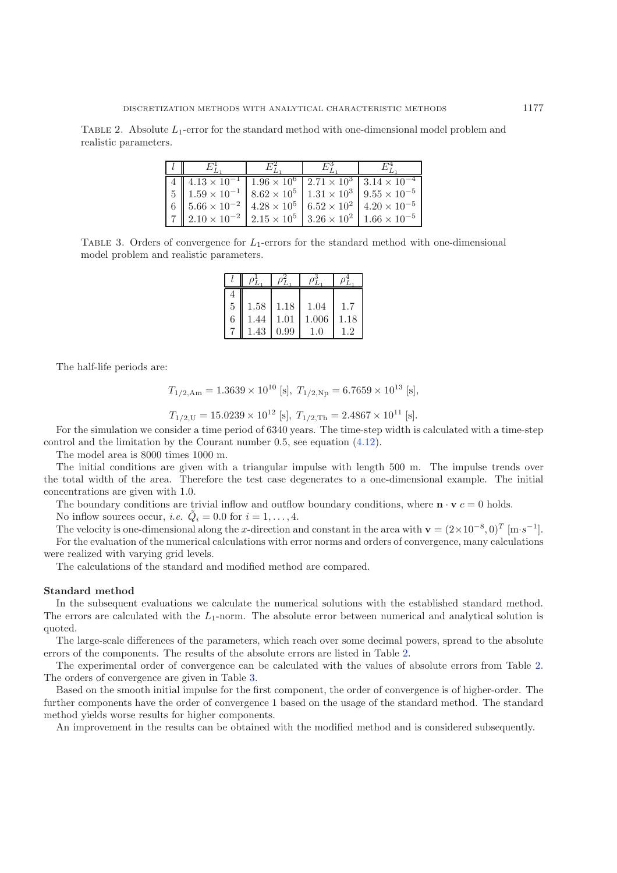<span id="page-20-1"></span><span id="page-20-0"></span>TABLE 2. Absolute  $L_1$ -error for the standard method with one-dimensional model problem and realistic parameters.

| $ 4  4.13 \times 10^{-1}  1.96 \times 10^{6}  2.71 \times 10^{3}  3.14 \times 10^{-4}$                          |  |  |
|-----------------------------------------------------------------------------------------------------------------|--|--|
| 5    $1.59 \times 10^{-1}$   $8.62 \times 10^5$   $1.31 \times 10^3$   $9.55 \times 10^{-5}$                    |  |  |
| $\mid 6 \mid \mid 5.66 \times 10^{-2} \mid 4.28 \times 10^{5} \mid 6.52 \times 10^{2} \mid 4.20 \times 10^{-5}$ |  |  |
| $\mid 7 \mid 2.10 \times 10^{-2} \mid 2.15 \times 10^{5} \mid 3.26 \times 10^{2} \mid 1.66 \times 10^{-5}$      |  |  |

TABLE 3. Orders of convergence for  $L_1$ -errors for the standard method with one-dimensional model problem and realistic parameters.

| 4 |      |      |           |               |
|---|------|------|-----------|---------------|
| 5 | 1.58 | 1.18 | 1.04      | 1.7           |
| 6 | .44  | 1.01 | 1.006     | 1.18          |
|   | 1.43 | 0.99 | $\bigcap$ | $\mathcal{P}$ |

The half-life periods are:

$$
T_{1/2,\text{Am}} = 1.3639 \times 10^{10} \text{ [s]}, T_{1/2,\text{Np}} = 6.7659 \times 10^{13} \text{ [s]},
$$

$$
T_{1/2,\text{U}} = 15.0239 \times 10^{12} \text{ [s]}, T_{1/2,\text{Th}} = 2.4867 \times 10^{11} \text{ [s]}.
$$

 $T_{1/2,\text{U}} = 15.0239 \times 10^{12}$  [s],  $T_{1/2,\text{Th}} = 2.4867 \times 10^{11}$  [s].<br>For the simulation we consider a time period of 6340 years. The time-step width is calculated with a time-step control and the limitation by the Courant number 0.5, see equation [\(4.12\)](#page-6-6).

The model area is 8000 times 1000 m.

The initial conditions are given with a triangular impulse with length 500 m. The impulse trends over the total width of the area. Therefore the test case degenerates to a one-dimensional example. The initial concentrations are given with 1.0.

The boundary conditions are trivial inflow and outflow boundary conditions, where  $\mathbf{n} \cdot \mathbf{v}$  c = 0 holds.

No inflow sources occur, *i.e.*  $\tilde{Q}_i = 0.0$  for  $i = 1, \ldots, 4$ .

The velocity is one-dimensional along the x-direction and constant in the area with **v** =  $(2 \times 10^{-8}, 0)^T$  [m·s<sup>-1</sup>]. For the evaluation of the numerical calculations with error norms and orders of convergence, many calculations were realized with varying grid levels.

The calculations of the standard and modified method are compared.

#### **Standard method**

In the subsequent evaluations we calculate the numerical solutions with the established standard method. The errors are calculated with the  $L_1$ -norm. The absolute error between numerical and analytical solution is quoted.

The large-scale differences of the parameters, which reach over some decimal powers, spread to the absolute errors of the components. The results of the absolute errors are listed in Table [2.](#page-20-0)

The experimental order of convergence can be calculated with the values of absolute errors from Table [2.](#page-20-0) The orders of convergence are given in Table [3.](#page-20-1)

Based on the smooth initial impulse for the first component, the order of convergence is of higher-order. The further components have the order of convergence 1 based on the usage of the standard method. The standard method yields worse results for higher components.

An improvement in the results can be obtained with the modified method and is considered subsequently.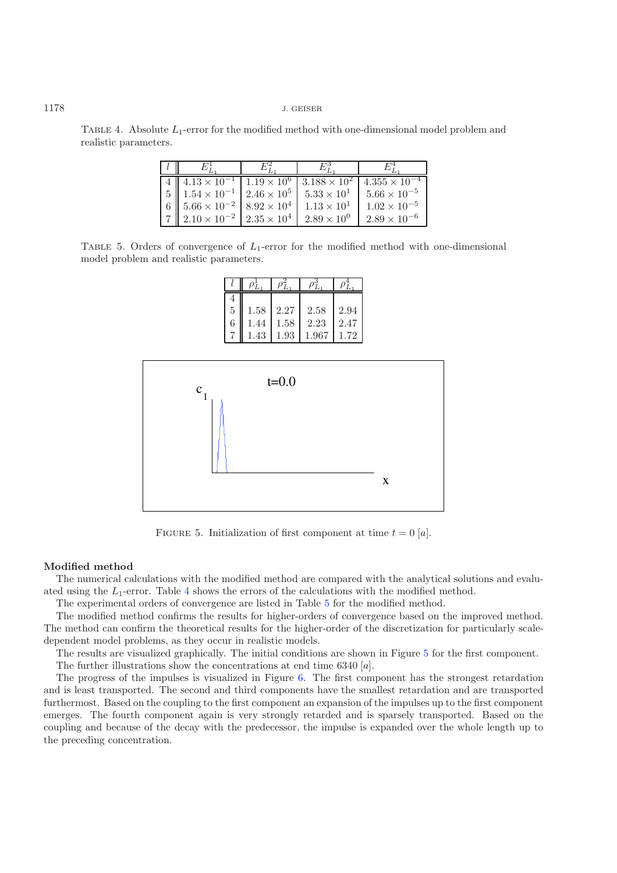TABLE 4. Absolute  $L_1$ -error for the modified method with one-dimensional model problem and realistic parameters.

| 4    $4.13 \times 10^{-1}$   $1.19 \times 10^{6}$   $3.188 \times 10^{2}$        |                      | $4.355 \times 10^{-4}$ |
|----------------------------------------------------------------------------------|----------------------|------------------------|
| $\frac{1}{2}$ 5   1.54 $\times$ 10 <sup>-1</sup>   2.46 $\times$ 10 <sup>5</sup> | $5.33 \times 10^{1}$ | $5.66 \times 10^{-5}$  |
| 6 $\parallel$ 5.66 $\times$ 10 <sup>-2</sup>   8.92 $\times$ 10 <sup>4</sup>     | $1.13 \times 10^{1}$ | $1.02 \times 10^{-5}$  |
| $2.10 \times 10^{-2}$ $2.35 \times 10^{4}$                                       | $2.89 \times 10^{0}$ | $2.89 \times 10^{-6}$  |

TABLE 5. Orders of convergence of  $L_1$ -error for the modified method with one-dimensional model problem and realistic parameters.

<span id="page-21-2"></span>

FIGURE 5. Initialization of first component at time  $t = 0$  [a].

#### **Modified method**

The numerical calculations with the modified method are compared with the analytical solutions and evaluated using the  $L_1$ -error. Table [4](#page-21-0) shows the errors of the calculations with the modified method.

The experimental orders of convergence are listed in Table [5](#page-21-1) for the modified method.

The modified method confirms the results for higher-orders of convergence based on the improved method. The method can confirm the theoretical results for the higher-order of the discretization for particularly scaledependent model problems, as they occur in realistic models.

The results are visualized graphically. The initial conditions are shown in Figure [5](#page-21-2) for the first component.

The further illustrations show the concentrations at end time 6340 [a].

The progress of the impulses is visualized in Figure [6.](#page-22-0) The first component has the strongest retardation and is least transported. The second and third components have the smallest retardation and are transported furthermost. Based on the coupling to the first component an expansion of the impulses up to the first component emerges. The fourth component again is very strongly retarded and is sparsely transported. Based on the coupling and because of the decay with the predecessor, the impulse is expanded over the whole length up to the preceding concentration.

<span id="page-21-1"></span><span id="page-21-0"></span>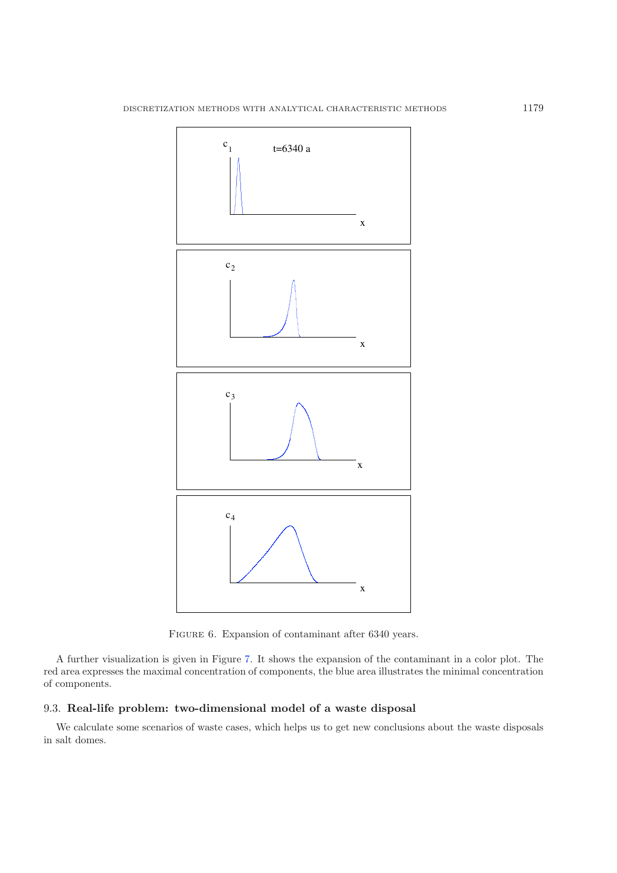

<span id="page-22-0"></span>FIGURE 6. Expansion of contaminant after 6340 years.

A further visualization is given in Figure [7.](#page-23-0) It shows the expansion of the contaminant in a color plot. The red area expresses the maximal concentration of components, the blue area illustrates the minimal concentration of components.

## 9.3. **Real-life problem: two-dimensional model of a waste disposal**

We calculate some scenarios of waste cases, which helps us to get new conclusions about the waste disposals in salt domes.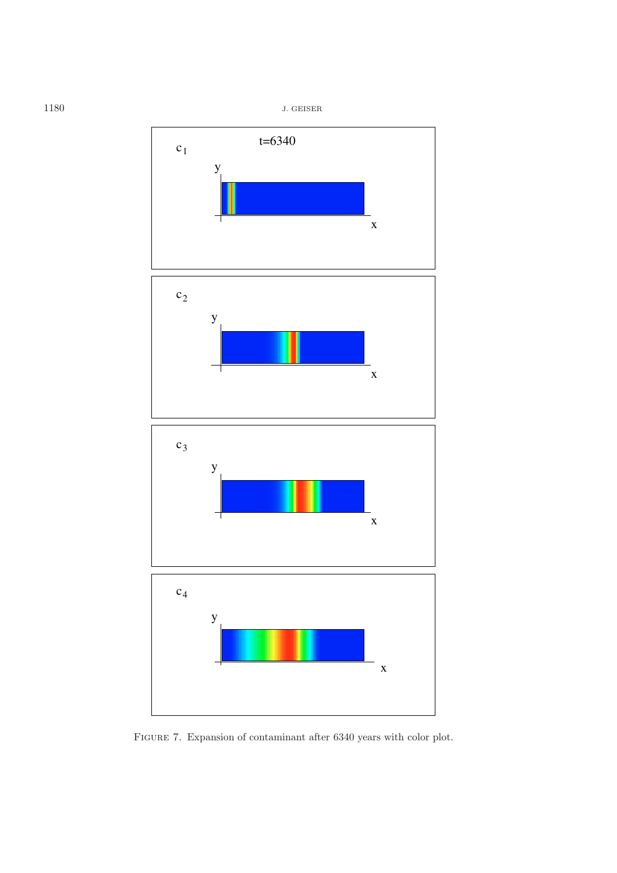

<span id="page-23-0"></span>FIGURE 7. Expansion of contaminant after 6340 years with color plot.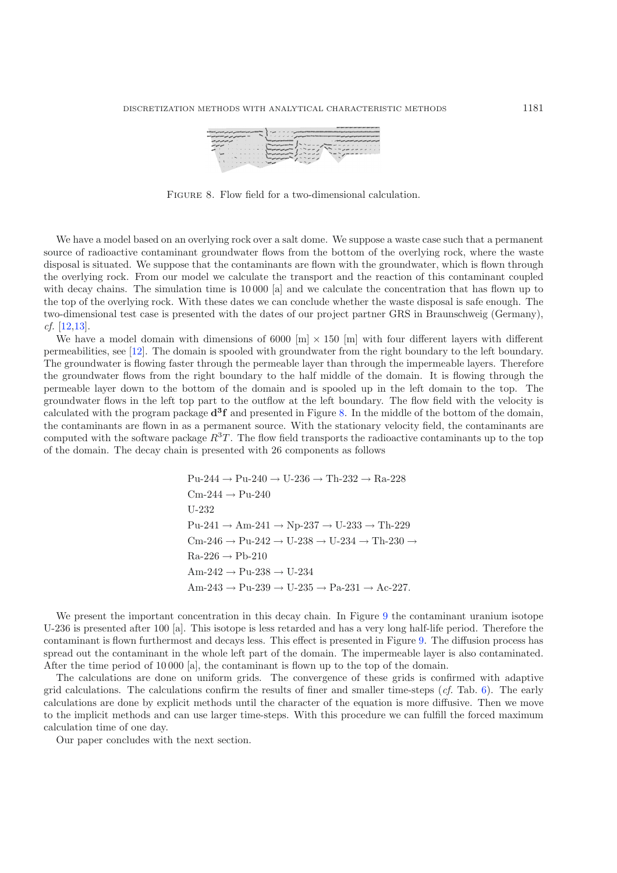<span id="page-24-0"></span>

FIGURE 8. Flow field for a two-dimensional calculation.

We have a model based on an overlying rock over a salt dome. We suppose a waste case such that a permanent source of radioactive contaminant groundwater flows from the bottom of the overlying rock, where the waste disposal is situated. We suppose that the contaminants are flown with the groundwater, which is flown through the overlying rock. From our model we calculate the transport and the reaction of this contaminant coupled with decay chains. The simulation time is 10 000 [a] and we calculate the concentration that has flown up to the top of the overlying rock. With these dates we can conclude whether the waste disposal is safe enough. The two-dimensional test case is presented with the dates of our project partner GRS in Braunschweig (Germany), *cf.* [\[12](#page-26-29)[,13\]](#page-26-30).

We have a model domain with dimensions of 6000 [m]  $\times$  150 [m] with four different layers with different permeabilities, see [\[12](#page-26-29)]. The domain is spooled with groundwater from the right boundary to the left boundary. The groundwater is flowing faster through the permeable layer than through the impermeable layers. Therefore the groundwater flows from the right boundary to the half middle of the domain. It is flowing through the permeable layer down to the bottom of the domain and is spooled up in the left domain to the top. The groundwater flows in the left top part to the outflow at the left boundary. The flow field with the velocity is calculated with the program package **d3f** and presented in Figure [8.](#page-24-0) In the middle of the bottom of the domain, the contaminants are flown in as a permanent source. With the stationary velocity field, the contaminants are computed with the software package  $R^{3}T$ . The flow field transports the radioactive contaminants up to the top of the domain. The decay chain is presented with 26 components as follows

> $Pu-244 \rightarrow Pu-240 \rightarrow U-236 \rightarrow Th-232 \rightarrow Ra-228$  $Cm-244 \rightarrow Pu-240$ U-232  $Pu-241 \rightarrow Am-241 \rightarrow Np-237 \rightarrow U-233 \rightarrow Th-229$  $\mathrm{Cm}\text{-}246 \rightarrow \mathrm{Pu}\text{-}242 \rightarrow \mathrm{U}\text{-}238 \rightarrow \mathrm{U}\text{-}234 \rightarrow \mathrm{Th}\text{-}230 \rightarrow$  $Ra-226 \rightarrow Pb-210$  $Am-242 \rightarrow Pu-238 \rightarrow U-234$  $Am-243 \rightarrow Pu-239 \rightarrow U-235 \rightarrow Pa-231 \rightarrow Ac-227.$

We present the important concentration in this decay chain. In Figure [9](#page-25-9) the contaminant uranium isotope U-236 is presented after 100 [a]. This isotope is less retarded and has a very long half-life period. Therefore the contaminant is flown furthermost and decays less. This effect is presented in Figure [9.](#page-25-9) The diffusion process has spread out the contaminant in the whole left part of the domain. The impermeable layer is also contaminated. After the time period of 10 000 [a], the contaminant is flown up to the top of the domain.

The calculations are done on uniform grids. The convergence of these grids is confirmed with adaptive grid calculations. The calculations confirm the results of finer and smaller time-steps (*cf.* Tab. [6\)](#page-25-10). The early calculations are done by explicit methods until the character of the equation is more diffusive. Then we move to the implicit methods and can use larger time-steps. With this procedure we can fulfill the forced maximum calculation time of one day.

Our paper concludes with the next section.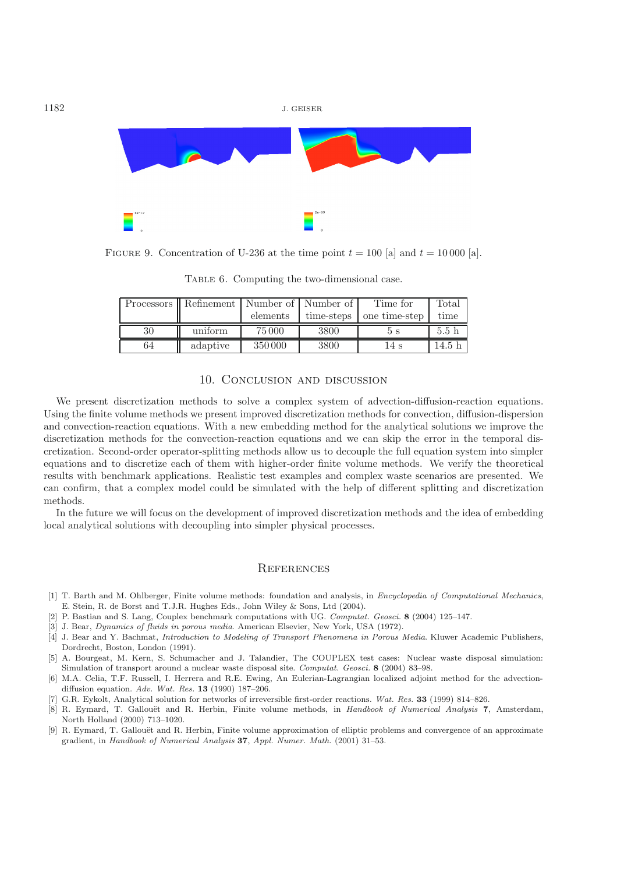<span id="page-25-10"></span><span id="page-25-9"></span>

FIGURE 9. Concentration of U-236 at the time point  $t = 100$  [a] and  $t = 10000$  [a].

|    | Processors Refinement   Number of   Number of |          |            | Time for      | Total |
|----|-----------------------------------------------|----------|------------|---------------|-------|
|    |                                               | elements | time-steps | one time-step | time  |
|    |                                               |          |            |               |       |
| 30 | uniform                                       | 75 000   | 3800       | 5 S           | 5.5h  |

TABLE 6. Computing the two-dimensional case.

## 10. Conclusion and discussion

<span id="page-25-5"></span>We present discretization methods to solve a complex system of advection-diffusion-reaction equations. Using the finite volume methods we present improved discretization methods for convection, diffusion-dispersion and convection-reaction equations. With a new embedding method for the analytical solutions we improve the discretization methods for the convection-reaction equations and we can skip the error in the temporal discretization. Second-order operator-splitting methods allow us to decouple the full equation system into simpler equations and to discretize each of them with higher-order finite volume methods. We verify the theoretical results with benchmark applications. Realistic test examples and complex waste scenarios are presented. We can confirm, that a complex model could be simulated with the help of different splitting and discretization methods.

In the future we will focus on the development of improved discretization methods and the idea of embedding local analytical solutions with decoupling into simpler physical processes.

#### **REFERENCES**

- <span id="page-25-1"></span>[1] T. Barth and M. Ohlberger, Finite volume methods: foundation and analysis, in Encyclopedia of Computational Mechanics, E. Stein, R. de Borst and T.J.R. Hughes Eds., John Wiley & Sons, Ltd (2004).
- <span id="page-25-3"></span>[2] P. Bastian and S. Lang, Couplex benchmark computations with UG. Computat. Geosci. **8** (2004) 125–147.
- <span id="page-25-6"></span>[3] J. Bear, Dynamics of fluids in porous media. American Elsevier, New York, USA (1972).
- <span id="page-25-7"></span>[4] J. Bear and Y. Bachmat, Introduction to Modeling of Transport Phenomena in Porous Media. Kluwer Academic Publishers, Dordrecht, Boston, London (1991).
- <span id="page-25-4"></span>[5] A. Bourgeat, M. Kern, S. Schumacher and J. Talandier, The COUPLEX test cases: Nuclear waste disposal simulation: Simulation of transport around a nuclear waste disposal site. Computat. Geosci. **8** (2004) 83–98.
- <span id="page-25-2"></span>[6] M.A. Celia, T.F. Russell, I. Herrera and R.E. Ewing, An Eulerian-Lagrangian localized adjoint method for the advectiondiffusion equation. Adv. Wat. Res. **13** (1990) 187–206.
- [7] G.R. Eykolt, Analytical solution for networks of irreversible first-order reactions. Wat. Res. **33** (1999) 814–826.
- <span id="page-25-8"></span><span id="page-25-0"></span>[8] R. Eymard, T. Gallouët and R. Herbin, Finite volume methods, in Handbook of Numerical Analysis 7, Amsterdam, North Holland (2000) 713–1020.
- [9] R. Eymard, T. Gallouët and R. Herbin, Finite volume approximation of elliptic problems and convergence of an approximate gradient, in Handbook of Numerical Analysis **37**, Appl. Numer. Math. (2001) 31–53.